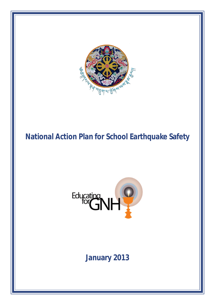

# **National Action Plan for School Earthquake Safety**



# **January 2013**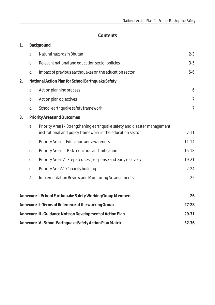# **Contents**

| 1. | Background                                        |                                                                                                                                         |                |  |  |  |  |
|----|---------------------------------------------------|-----------------------------------------------------------------------------------------------------------------------------------------|----------------|--|--|--|--|
|    | a.                                                | Natural hazards in Bhutan                                                                                                               | $2 - 3$        |  |  |  |  |
|    | b.                                                | Relevant national and education sector policies                                                                                         | $3 - 5$        |  |  |  |  |
|    | C.                                                | Impact of previous earthquakes on the education sector                                                                                  | $5-6$          |  |  |  |  |
| 2. | National Action Plan for School Earthquake Safety |                                                                                                                                         |                |  |  |  |  |
|    | a.                                                | Action planning process                                                                                                                 |                |  |  |  |  |
|    | b.                                                | Action plan objectives                                                                                                                  | 7              |  |  |  |  |
|    | C.                                                | School earthquake safety framework                                                                                                      | $\overline{7}$ |  |  |  |  |
| 3. | <b>Priority Areas and Outcomes</b>                |                                                                                                                                         |                |  |  |  |  |
|    | a.                                                | Priority Area I - Strengthening earthquake safety and disaster management<br>institutional and policy framework in the education sector |                |  |  |  |  |
|    | b.                                                | Priority Area II - Education and awareness                                                                                              | $11 - 14$      |  |  |  |  |
|    | C.                                                | Priority Area III - Risk reduction and mitigation                                                                                       | $15 - 18$      |  |  |  |  |
|    | d.                                                | Priority Area IV - Preparedness, response and early recovery                                                                            | 19-21          |  |  |  |  |
|    | е.                                                | Priority Area V - Capacity building                                                                                                     |                |  |  |  |  |
|    | 4.                                                | Implementation Review and Monitoring Arrangements                                                                                       | 25             |  |  |  |  |
|    |                                                   | Annexure I - School Earthquake Safety Working Group Members                                                                             | 26             |  |  |  |  |
|    |                                                   | Annexure II - Terms of Reference of the working Group                                                                                   | $27 - 28$      |  |  |  |  |
|    |                                                   | Annexure III - Guidance Note on Development of Action Plan                                                                              | 29-31          |  |  |  |  |
|    |                                                   | Annexure IV - School Earthquake Safety Action Plan Matrix                                                                               | $32 - 36$      |  |  |  |  |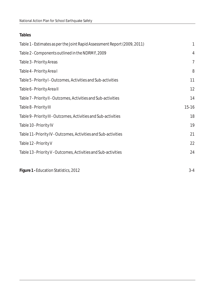| Tables                                                                    |                |
|---------------------------------------------------------------------------|----------------|
| Table 1 - Estimates as per the Joint Rapid Assessment Report (2009, 2011) | 1              |
| Table 2 - Components outlined in the NDRMF, 2009                          | 4              |
| Table 3 - Priority Areas                                                  | $\overline{7}$ |
| Table 4 - Priority Area I                                                 | 8              |
| Table 5 - Priority I - Outcomes, Activities and Sub-activities            | 11             |
| Table 6 - Priority Area II                                                | 12             |
| Table 7 - Priority II - Outcomes, Activities and Sub-activities           | 14             |
| Table 8 - Priority III                                                    | $15 - 16$      |
| Table 9 - Priority III - Outcomes, Activities and Sub-activities          | 18             |
| Table 10 - Priority IV                                                    | 19             |
| Table 11- Priority IV - Outcomes, Activities and Sub-activities           | 21             |
| Table 12 - Priority V                                                     | 22             |
| Table 13 - Priority V - Outcomes, Activities and Sub-activities           | 24             |
| Figure 1 - Education Statistics, 2012                                     | $3 - 4$        |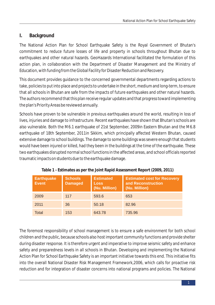## **I. Background**

The National Action Plan for School Earthquake Safety is the Royal Government of Bhutan's commitment to reduce future losses of life and property in schools throughout Bhutan due to earthquakes and other natural hazards. GeoHazards International facilitated the formulation of this action plan, in collaboration with the Department of Disaster Management and the Ministry of Education, with funding from the Global Facility for Disaster Reduction and Recovery.

This document provides guidance to the concerned governmental departments regarding actions to take, policies to put into place and projects to undertake in the short, medium and long-term, to ensure that all schools in Bhutan are safe from the impacts of future earthquakes and other natural hazards. The authors recommend that this plan receive regular updates and that progress toward implementing the plan's Priority Areas be reviewed annually.

Schools have proven to be vulnerable in previous earthquakes around the world, resulting in loss of lives, injuries and damage to infrastructure. Recent earthquakes have shown that Bhutan's schools are also vulnerable. Both the M6.1 earthquake of 21st September, 2009in Eastern Bhutan and the M6.8 earthquake of 18th September, 2011in Sikkim, which principally affected Western Bhutan, caused extensive damage to school buildings. The damage to some buildings was severe enough that students would have been injured or killed, had they been in the buildings at the time of the earthquake. These two earthquakes disrupted normal school functions in the affected areas, and school officials reported traumatic impacts on students due to the earthquake damage.

| <b>Earthquake</b><br><b>Event</b> | <b>Schools</b><br><b>Damaged</b> | <b>Estimated</b><br><b>Loss</b><br>(Nu. Million) | <b>Estimated cost for Recovery</b><br>and Reconstruction<br>(Nu. Million) |
|-----------------------------------|----------------------------------|--------------------------------------------------|---------------------------------------------------------------------------|
| 2009                              | 117                              | 593.6                                            | 653                                                                       |
| 2011                              | 36                               | 50.18                                            | 82.96                                                                     |
| <b>Total</b>                      | 153                              | 643.78                                           | 735.96                                                                    |

**Table 1 - Estimates as per the Joint Rapid Assessment Report (2009, 2011)**

The foremost responsibility of school management is to ensure a safe environment for both school children and the public, because schools also host important community functions and provide shelter during disaster response. It is therefore urgent and imperative to improve seismic safety and enhance safety and preparedness levels in all schools in Bhutan. Developing and implementing the National Action Plan for School Earthquake Safety is an important initiative towards this end. This initiative fits into the overall National Disaster Risk Management Framework,2006, which calls for proactive risk reduction and for integration of disaster concerns into national programs and policies. The National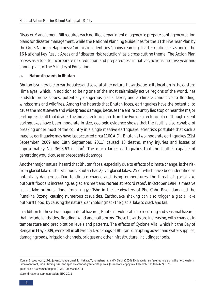Disaster Management Bill requires each notified department or agency to prepare contingency/action plans for disaster management, while the National Planning Guidelines for the 11th Five Year Plan by the Gross National Happiness Commission identifies "mainstreaming disaster resilience" as one of the 16 National Key Result Areas and "disaster risk reduction" as a cross cutting theme. The Action Plan serves as a tool to incorporate risk reduction and preparedness initiatives/actions into five year and annual plans of the Ministry of Education.

**a. Natural hazards in Bhutan**

Bhutan is vulnerable to earthquakes and several other natural hazards due to its location in the eastern Himalayas, which, in addition to being one of the most seismically active regions of the world, has landslide-prone slopes, potentially dangerous glacial lakes, and a climate conducive to flooding, windstorms and wildfires. Among the hazards that Bhutan faces, earthquakes have the potential to cause the most severe and widespread damage, because the entire country lies atop or near the major earthquake fault that divides the Indian tectonic plate from the Eurasian tectonic plate. Though recent earthquakes have been moderate in size, geologic evidence shows that the fault is also capable of breaking under most of the country in a single massive earthquake; scientists postulate that such a **<sup>1</sup>** massive earthquake may have last occurred circa 1100 A.D . Bhutan's two moderate earthquakes (21st September, 2009 and 18th September, 2011) caused 13 deaths, many injuries and losses of approximately Nu. 3698.63 million<sup>2</sup>. The much larger earthquakes that the fault is capable of generating would cause unprecedented damage.

Another major natural hazard that Bhutan faces, especially due to effects of climate change, is the risk from glacial lake outburst floods. Bhutan has 2,674 glacial lakes, 25 of which have been identified as potentially dangerous. Due to climate change and rising temperatures, the threat of glacial lake outburst floods is increasing, as glaciers melt and retreat at record rates<sup>3</sup>. In October 1994, a massive glacial lake outburst flood from Luggye Tsho in the headwaters of Pho Chhu River damaged the Punakha Dzong, causing numerous casualties. Earthquake shaking can also trigger a glacial lake outburst flood, by causing the natural dam holding back the glacial lake to crack and fail.

In addition to these two major natural hazards, Bhutan is vulnerable to recurring and seasonal hazards that include landslides, flooding, wind and hail storms. These hazards are increasing, with changes in temperature and precipitation levels and patterns. The effects of Cyclone Aila, which hit the Bay of Bengal in May 2009, were felt in all twenty Dzonkhags of Bhutan, disrupting power and water supplies, damaging roads, irrigation channels, bridges and other infrastructure, including schools.

<sup>&</sup>lt;sup>1</sup> Kumar, S. Wesnousky, S.G., Jayangondaperumal, R., Nakata, T., Kumahara, Y. and V. Singh (2010). Evidence for surface rupture along the northeastern Himalayan front, India: Timing, size, and spatial extent of great earthquakes. Journal of Geophysical Research, 115 (B12422), 1-20.

**<sup>2</sup>** Joint Rapid Assessment Report (JRAR), 2009 and 2011

**<sup>3</sup>** Second National Communication, NEC, 2011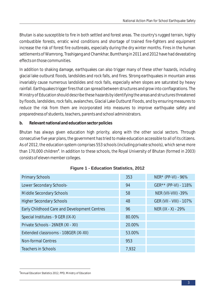Bhutan is also susceptible to fire in both settled and forest areas. The country's rugged terrain, highly combustible forests, erratic wind conditions and shortage of trained fire-fighters and equipment increase the risk of forest fire outbreaks, especially during the dry winter months. Fires in the human settlements of Wamrong, Trashigang and Chamkhar, Bumthang in 2011 and 2012 have had devastating effects on those communities.

In addition to shaking damage, earthquakes can also trigger many of these other hazards, including glacial lake outburst floods, landslides and rock falls, and fires. Strong earthquakes in mountain areas invariably cause numerous landslides and rock falls, especially when slopes are saturated by heavy rainfall. Earthquakes trigger fires that can spread between structures and grow into conflagrations. The Ministry of Education should describe these hazards by identifying the areas and structures threatened by floods, landslides, rock falls, avalanches, Glacial Lake Outburst Floods, and by ensuring measures to reduce the risk from them are incorporated into measures to improve earthquake safety and preparedness of students, teachers, parents and school administrators.

**b. Relevant national and education sector policies**

Bhutan has always given education high priority, along with the other social sectors. Through consecutive five year plans, the government has tried to make education accessible to all of its citizens. As of 2012, the education system comprises 553 schools (including private schools), which serve more than 170,000 children<sup>4</sup>. In addition to these schools, the Royal University of Bhutan (formed in 2003) consists of eleven member colleges.

| <b>Primary Schools</b>                       | 353    | $NER* (PP-VI) - 96%$       |
|----------------------------------------------|--------|----------------------------|
| Lower Secondary Schools-                     | 94     | GER** (PP-VI) - 118%       |
| Middle Secondary Schools                     | 58     | <b>NER (VII-VIII) -39%</b> |
| <b>Higher Secondary Schools</b>              | 48     | GER (VII - VIII) - 107%    |
| Early Childhood Care and Development Centres | 96     | NER (IX - X) - 29%         |
| Special Institutes - 9 GER (IX-X)            | 80.00% |                            |
| Private Schools - 26NER (XI - XII)           | 20.00% |                            |
| Extended classrooms - 108GER (XI-XII)        | 53.00% |                            |
| <b>Non-formal Centres</b>                    | 953    |                            |
| <b>Teachers in Schools</b>                   | 7,932  |                            |

|  |  | <b>Figure 1 - Education Statistics, 2012</b> |  |  |
|--|--|----------------------------------------------|--|--|
|--|--|----------------------------------------------|--|--|

**<sup>4</sup>** Annual Education Statistics 2012, PPD, Ministry of Education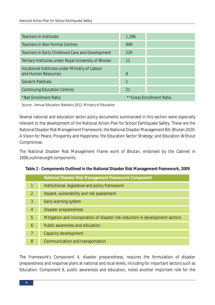| <b>Teachers in Institutes</b>                                         | 1,186 |                          |
|-----------------------------------------------------------------------|-------|--------------------------|
| <b>Teachers in Non Formal Centres</b>                                 | 949   |                          |
| Teachers in Early Childhood Care and Development                      | 229   |                          |
| Tertiary Institutes under Royal University of Bhutan                  | 11    |                          |
| Vocational Institutes under Ministry of Labour<br>and Human Resources | 8     |                          |
| Sanskrit Patshala                                                     | 1     |                          |
| <b>Continuing Education Centres</b>                                   | 21    |                          |
| *Net Enrollment Ratio                                                 |       | **Gross Enrollment Ratio |

Source - Annual Education Statistics 2012, Ministry of Education

Several national and education sector policy documents summarized in this section were especially relevant to the development of the National Action Plan for School Earthquake Safety. These are the National Disaster Risk Management Framework; the National Disaster Management Bill; Bhutan 2020: A Vision for Peace, Prosperity and Happiness; the Education Sector Strategy; and Education Without Compromise.

The National Disaster Risk Management Frame work of Bhutan, endorsed by the Cabinet in 2006,outlines eight components.

| Table 2 - Components Outlined in the National Disaster Risk Management Framework, 2009 |  |  |
|----------------------------------------------------------------------------------------|--|--|
|                                                                                        |  |  |

|                | National Disaster Risk Management Framework Component                          |
|----------------|--------------------------------------------------------------------------------|
| 1              | Institutional, legislative and policy framework                                |
| 2              | Hazard, vulnerability and risk assessment                                      |
| $\overline{3}$ | Early warning system                                                           |
| $\overline{4}$ | <b>Disaster preparedness</b>                                                   |
| 5              | Mitigation and incorporation of disaster risk reduction in development sectors |
| 6              | Public awareness and education                                                 |
|                | Capacity development                                                           |
| 8              | Communication and transportation                                               |

The Framework's Component 4, disaster preparedness, requires the formulation of disaster preparedness and response plans at national and local levels, including for important sectors such as Education. Component 6, public awareness and education, notes another important role for the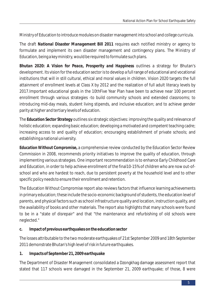Ministry of Education to introduce modules on disaster management into school and college curricula.

The draft *National Disaster Management Bill 2011* requires each notified ministry or agency to formulate and implement its own disaster management and contingency plans. The Ministry of Education, being a key ministry, would be required to formulate such plans.

*Bhutan 2020: A Vision for Peace, Prosperity and Happiness* outlines a strategy for Bhutan's development. Its vision for the education sector is to develop a full range of educational and vocational institutions that will in still cultural, ethical and moral values in children. Vision 2020 targets the full attainment of enrollment levels at Class X by 2012 and the realization of full adult literacy levels by 2017.Important educational goals in the 10thFive Year Plan have been to achieve near 100 percent enrollment through various strategies -to build community schools and extended classrooms; to introducing mid-day meals, student living stipends, and inclusive education; and to achieve gender parity at higher and tertiary levels of education.

The *Education Sector Strategy* outlines six strategic objectives: improving the quality and relevance of holistic education; expanding basic education; developing a motivated and competent teaching cadre; increasing access to and quality of education; encouraging establishment of private schools; and establishing a national university.

*Education Without Compromise,* a comprehensive review conducted by the Education Sector Review Commission in 2008, recommends priority initiatives to improve the quality of education, through implementing various strategies. One important recommendation is to enhance Early Childhood Care and Education, in order to help achieve enrollment of the final10-15% of children who are now out-ofschool and who are hardest to reach, due to persistent poverty at the household level and to other specific policy needs to ensure their enrollment and retention.

The Education Without Compromise report also reviews factors that influence learning achievements in primary education; these include the socio-economic background of students, the education level of parents, and physical factors such as school infrastructure quality and location, instruction quality, and the availability of books and other materials. The report also highlights that many schools were found to be in a "state of disrepair" and that "the maintenance and refurbishing of old schools were neglected."

**c. Impact of previous earthquakes on the education sector**

The losses attributable to the two moderate earthquakes of 21st September 2009 and 18th September 2011 demonstrate Bhutan's high level of risk in future earthquakes.

**1. Impacts of September 21, 2009 earthquake**

The Department of Disaster Management consolidated a Dzongkhag damage assessment report that stated that 117 schools were damaged in the September 21, 2009 earthquake; of those, 8 were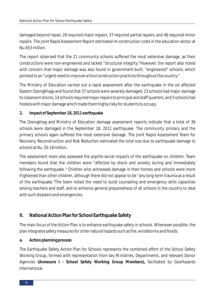damaged beyond repair, 26 required major repairs, 37 required partial repairs, and 46 required minor repairs. The Joint Rapid Assessment Report estimated re-construction costs in the education sector at Nu.653 million.

The report observed that the 21 community schools suffered the most extensive damage, as their constructions were non-engineered and lacked "structural integrity."However, the report also noted with concern that major damage was also found in government-built, "engineered" schools, which pointed to an "urgent need to improve school construction practices throughout the country."

The Ministry of Education carried out a rapid assessment after the earthquake in the six affected Eastern Dzongkhags and found that 37 schools were severely damaged, 23 schools had major damage to classroom blocks, 14 schools required major repairs to principal and staff quarters, and 5 schools had hostels with major damage which made them highly risky for students to occupy.

**2. Impact of September 18, 2011 earthquake**

The Dzongkhag and Ministry of Education damage assessment reports indicate that a total of 36 schools were damaged in the September 18, 2011 earthquake. The community primary and the primary schools again suffered the most extensive damage. The Joint Rapid Assessment Team for Recovery, Reconstruction and Risk Reduction estimated the total loss due to earthquake damage to schools at Nu. 50.18 million.

The assessment team also assessed the psycho-social impacts of the earthquake on children. Team members found that the children were "affected by shock and anxiety during and immediately following the earthquake." Children who witnessed damage in their homes and schools were more frightened than other children, although there did not appear to be "any long-term trauma as a result of the earthquake."The team noted the need to build counseling and emergency skills capacities among teachers and staff, and to enhance general preparedness of all schools in the country to deal with such disasters and emergencies.

## **II. National Action Plan for School Earthquake Safety**

The main focus of the Action Plan is to enhance earthquake safety in schools. Whenever possible, the plan integrates safety measures for other natural hazards such as fire, windstorms and floods.

**a. Action planning process**

The Earthquake Safety Action Plan for Schools represents the combined effort of the School Safety Working Group, formed with representation from key Ministries, Departments, and relevant Donor Agencies *(Annexure I - School Safety Working Group Members),* facilitated by GeoHazards International.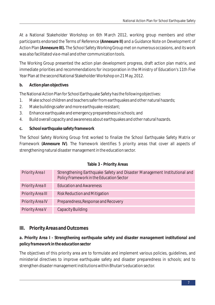At a National Stakeholder Workshop on 6th March 2012, working group members and other participants endorsed the Terms of Reference *(Annexure II)* and a Guidance Note on Development of Action Plan *(Annexure III).* The School Safety Working Group met on numerous occasions, and its work was also facilitated via e-mail and other communication tools.

The Working Group presented the action plan development progress, draft action plan matrix, and immediate priorities and recommendations for incorporation in the Ministry of Education's 11th Five Year Plan at the second National Stakeholder Workshop on 21 May, 2012.

**b. Action plan objectives**

The National Action Plan for School Earthquake Safety has the following objectives:

- 1. Make school children and teachers safer from earthquakes and other natural hazards;
- 2. Make buildings safer and more earthquake-resistant;
- 3. Enhance earthquake and emergency preparedness in schools; and
- 4. Build overall capacity and awareness about earthquakes and other natural hazards.
- **c. School earthquake safety framework**

The School Safety Working Group first worked to finalize the School Earthquake Safety Matrix or Framework *(Annexure IV)*. The framework identifies 5 priority areas that cover all aspects of strengthening natural disaster management in the education sector.

| Priority Area I   | Strengthening Earthquake Safety and Disaster Management Institutional and<br>Policy Framework in the Education Sector |
|-------------------|-----------------------------------------------------------------------------------------------------------------------|
| Priority Areall   | <b>Education and Awareness</b>                                                                                        |
| Priority Area III | <b>Risk Reduction and Mitigation</b>                                                                                  |
| Priority Area IV  | Preparedness, Response and Recovery                                                                                   |
| Priority Area V   | Capacity Building                                                                                                     |

#### **Table 3 - Priority Areas**

## **III. Priority Areas and Outcomes**

## *a. Priority Area I - Strengthening earthquake safety and disaster management institutional and policy framework in the education sector*

The objectives of this priority area are to formulate and implement various policies, guidelines, and ministerial directives to improve earthquake safety and disaster preparedness in schools; and to strengthen disaster management institutions within Bhutan's education sector.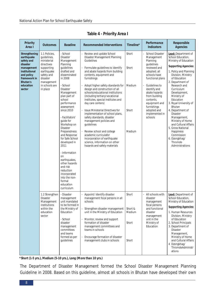| Priority<br>Area I                                                                                                                                           | <b>Outcomes</b>                                                                                                                                             | <b>Baseline</b>                                                                                                                                                                                                                                                                                                                                                                                                                                                                                                              | <b>Recommended Interventions</b>                                                                                                                                                                                                                                                                                                                                                                                                                                                                                                                                                                                                                                                                           | Timeline*                                    | Performance<br><b>Indicators</b>                                                                                                                                                                                                                                                               | Responsible<br><b>Agencies</b>                                                                                                                                                                                                                                                                                                                                                                                                                                                                             |
|--------------------------------------------------------------------------------------------------------------------------------------------------------------|-------------------------------------------------------------------------------------------------------------------------------------------------------------|------------------------------------------------------------------------------------------------------------------------------------------------------------------------------------------------------------------------------------------------------------------------------------------------------------------------------------------------------------------------------------------------------------------------------------------------------------------------------------------------------------------------------|------------------------------------------------------------------------------------------------------------------------------------------------------------------------------------------------------------------------------------------------------------------------------------------------------------------------------------------------------------------------------------------------------------------------------------------------------------------------------------------------------------------------------------------------------------------------------------------------------------------------------------------------------------------------------------------------------------|----------------------------------------------|------------------------------------------------------------------------------------------------------------------------------------------------------------------------------------------------------------------------------------------------------------------------------------------------|------------------------------------------------------------------------------------------------------------------------------------------------------------------------------------------------------------------------------------------------------------------------------------------------------------------------------------------------------------------------------------------------------------------------------------------------------------------------------------------------------------|
| Strengthening<br>earthquake<br>safety and<br>disaster<br>management<br>institutional<br>and policy<br>framework in<br><b>Bhutan's</b><br>education<br>sector | 1.1 Policies,<br>quidelines,<br>ministerial<br>directives<br>supporting<br>earthquake<br>safety and<br>disaster<br>management<br>in schools are<br>in place | - School<br><b>Disaster</b><br>Management<br>Planning<br>guidelines<br>drafted and<br>disseminated<br>in 2008<br>- School<br>Disaster<br>Management<br>plan part of<br>school<br>performance<br>assessment<br>since 2010<br>- Facilitators'<br>quide for<br>Workshop on<br><b>Disaster</b><br>Preparedness<br>and Response<br>for Safe School<br>developed in<br>2011<br>- Information<br>on<br>earthquakes,<br>other hazards<br>and risk<br>reduction<br>incorporated<br>into the non-<br>formal<br>education<br>curriculum | Review and update School<br>Disaster Management Planning<br>Guidelines<br>Formulate guidelines to identify<br>and abate hazards from building<br>contents, equipment and<br>furnishings<br>Adopt higher safety standards for<br>design and construction of all<br>schools/educational institutions<br>(including tertiary/vocational<br>institutes, special institutes and<br>day care centers)<br><b>Issue Ministerial Directives for</b><br>implementation of school plans,<br>safety standards, disaster<br>management policies and<br>quidelines<br>Review school and college<br>academic curriculafor<br>incorporation of earthquake<br>science, information on other<br>hazards and safety materials | Short<br>Short<br>Medium<br>Short<br>Medium  | <b>School Disaster</b><br>Management<br>Planning<br>guidelines<br>reviewed and<br>adopted; all<br>schools have<br>functional plans<br>Guidelines to<br>identify and<br>abate hazards<br>from building<br>contents,<br>equipment and<br>furnishings<br>adopted and<br>implemented in<br>schools | Lead: Department of<br>School Education,<br>Ministry of Education<br><b>Supporting Agencies:</b><br>1. Policy and Planning<br>Division, Ministry<br>of Education<br>2. Department of<br>Research and<br>Curriculum<br>Development,<br>Ministry of<br>Education<br>3. Royal University of<br><b>Bhutan</b><br>4. Department of<br><b>Disaster</b><br>Management,<br>Ministry of Home<br>and Cultural Affairs<br>5. Gross National<br>Happiness<br>Commission<br>6. Dzongkhag/<br>Thromde<br>Administrations |
|                                                                                                                                                              | 1.2 Strengthen<br><b>Disaster</b><br>Management<br>institutions<br>within the<br>education<br>sector                                                        | - Disaster<br>management<br>unit mandated<br>to be formed in<br>the Ministry of<br>Education<br>- School<br>disaster<br>management<br>committees<br>and teams<br>formed as per<br>quidelines                                                                                                                                                                                                                                                                                                                                 | Appoint/ Identify disaster<br>management focal persons in all<br>schools<br>Strengthen disaster management<br>unit in the Ministry of Education<br>Monitor, review and support<br>formation of disaster<br>management committees and<br>teams in schools<br>Encourage formation of disaster<br>÷,<br>management clubs in schools                                                                                                                                                                                                                                                                                                                                                                           | Short<br>Short &<br>Medium<br>Short<br>Short | All schools with<br>disaster<br>management<br>focal persons<br>and functional<br>disaster<br>management<br>unit in the<br>Ministry of<br>Education                                                                                                                                             | Lead: Department of<br>School Education,<br>Ministry of Education<br><b>Supporting Agencies:</b><br>1. Human Resources<br>Division, Ministry<br>of Education<br>2. School Principals<br>3. Department of<br><b>Disaster</b><br>Management,<br>Ministry of Home<br>and Cultural Affairs<br>4 Dzongkhag/<br>ThromdeAdministr<br>ations                                                                                                                                                                       |

**Table 4 - Priority Area I**

*\*Short (1-5 yrs.), Medium (5-10 yrs.), Long (More than 10 yrs.)*

The Department of Disaster Management formed the School Disaster Management Planning Guideline in 2008. Based on this guideline, almost all schools in Bhutan have developed their own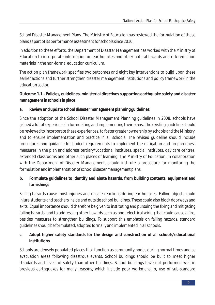School Disaster Management Plans. The Ministry of Education has reviewed the formulation of these plans as part of its performance assessment for schools since 2010.

In addition to these efforts, the Department of Disaster Management has worked with the Ministry of Education to incorporate information on earthquakes and other natural hazards and risk reduction materials in the non-formal education curriculum.

The action plan framework specifies two outcomes and eight key interventions to build upon these earlier actions and further strengthen disaster management institutions and policy framework in the education sector.

**Outcome 1.1 - Policies, guidelines, ministerial directives supporting earthquake safety and disaster management in schools in place**

**a. Review and update school disaster management planning guidelines**

Since the adoption of the School Disaster Management Planning guidelines in 2008, schools have gained a lot of experience in formulating and implementing their plans. The existing guideline should be reviewed to incorporate these experiences, to foster greater ownership by schools and the Ministry, and to ensure implementation and practice in all schools. The revised guideline should include procedures and guidance for budget requirements to implement the mitigation and preparedness measures in the plan and address tertiary/vocational institutes, special institutes, day care centres, extended classrooms and other such places of learning. The Ministry of Education, in collaboration with the Department of Disaster Management, should institute a procedure for monitoring the formulation and implementation of school disaster management plans.

**b. Formulate guidelines to identify and abate hazards, from building contents, equipment and furnishings**

Falling hazards cause most injuries and unsafe reactions during earthquakes. Falling objects could injure students and teachers inside and outside school buildings. These could also block doorways and exits. Equal importance should therefore be given to instituting and pursuing the fixing and mitigating falling hazards, and to addressing other hazards such as poor electrical wiring that could cause a fire, besides measures to strengthen buildings. To support this emphasis on falling hazards, standard guidelines should be formulated, adopted formally and implemented in all schools.

**c. Adopt higher safety standards for the design and construction of all schools/educational institutions**

Schools are densely populated places that function as community nodes during normal times and as evacuation areas following disastrous events. School buildings should be built to meet higher standards and levels of safety than other buildings. School buildings have not performed well in previous earthquakes for many reasons, which include poor workmanship, use of sub-standard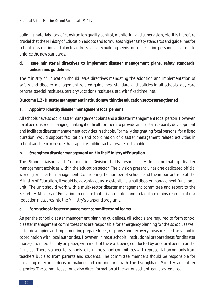building materials, lack of construction quality control, monitoring and supervision, etc. It is therefore crucial that the Ministry of Education adopts and formulates higher safety standards and guidelines for school construction and plan to address capacity building needs for construction personnel, in order to enforce the new standards.

**d. Issue ministerial directives to implement disaster management plans, safety standards, policies and guidelines**

The Ministry of Education should issue directives mandating the adoption and implementation of safety and disaster management related guidelines, standard and policies in all schools, day care centres, special institutes, tertiary/vocations institutes, etc. with fixed timelines.

**Outcome 1.2 - Disaster management institutions within the education sector strengthened**

**a. Appoint/ Identify disaster management focal persons**

All schools have school disaster management plans and a disaster management focal person. However, focal persons keep changing, making it difficult for them to provide and sustain capacity development and facilitate disaster management activities in schools. Formally designating focal persons, for a fixed duration, would support facilitation and coordination of disaster management related activities in schools and help to ensure that capacity building activities are sustainable.

**b. Strengthen disaster management unit in the Ministry of Education**

The School Liaison and Coordination Division holds responsibility for coordinating disaster management activities within the education sector. The division presently has one dedicated official working on disaster management. Considering the number of schools and the important role of the Ministry of Education, it would be advantageous to establish a small disaster management functional unit. The unit should work with a multi-sector disaster management committee and report to the Secretary, Ministry of Education to ensure that it is integrated and to facilitate mainstreaming of risk reduction measures into the Ministry's plans and programs.

**c. Form school disaster management committees and teams**

As per the school disaster management planning guidelines, all schools are required to form school disaster management committees that are responsible for emergency planning for the school, as well as for developing and implementing preparedness, response and recovery measures for the school in coordination with local authorities. However, in most schools, institutional preparedness for disaster management exists only on paper, with most of the work being conducted by one focal person or the Principal. There is a need for schools to form the school committees with representation not only from teachers but also from parents and students. The committee members should be responsible for providing direction, decision-making and coordinating with the Dzongkhag, Ministry and other agencies. The committees should also direct formation of the various school teams, as required.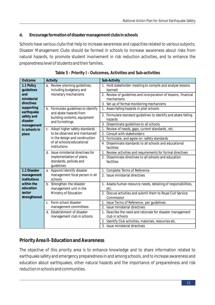#### **d. Encourage formation of disaster management clubs in schools**

Schools have various clubs that help to increase awareness and capacities related to various subjects. Disaster Management Clubs should be formed in schools to increase awareness about risks from natural hazards, to promote student involvement in risk reduction activities, and to enhance the preparedness level of students and their families.

| Outcome                | Activity                                       | Sub-Activity                                                                  |
|------------------------|------------------------------------------------|-------------------------------------------------------------------------------|
| 1.1 Policy             | a. Review planning guidelines,                 | 1. Hold stakeholder meeting to compile and analyze lessons                    |
| guidelines<br>and      | including budgetary and<br>monetary mechanisms | learned                                                                       |
| ministerial            |                                                | 2. Review of guidelines and incorporation of lessons, financial<br>mechanisms |
| directives             |                                                | 3. Set up of formal monitoring mechanisms                                     |
| supporting             | b. Formulate guidelines to identify            | Asses falling hazards in pilot schools                                        |
| earthquake             | and abate hazards from                         |                                                                               |
| safety and<br>disaster | building contents, equipment                   | 2. Formulate standard guidelines to identify and abate falling<br>hazards     |
| management             | and furnishings                                | 3. Disseminate guidelines to all schools                                      |
| in schools in          | c. Adopt higher safety standards               | Review of needs, gaps, current standards, etc.                                |
| place                  | to be observed and maintained                  | Consult with stakeholders<br>2.                                               |
|                        | in the design and construction                 | Formulate, and agree on, safety standards                                     |
|                        | of all schools/educational                     | 4. Disseminate standards to all schools and educational                       |
|                        | institutions                                   | facilities                                                                    |
|                        | d. Issue ministerial directives for            | Review activities and requirements for formal directives<br>1.                |
|                        | implementation of plans,                       | 2. Disseminate directives to all schools and education                        |
|                        | standards, policies and<br>guidelines          | facilities                                                                    |
| 1.2 Disaster           | a. Appoint/identify disaster                   | Complete Terms of Reference                                                   |
| management             | management focal person in all                 | 2. Issue ministerial directives                                               |
| institutions           | schools                                        |                                                                               |
| within the             | b. Strengthen the disaster                     | 1. Assess human resource needs, detailing of responsibilities,                |
| education              | management unit in the                         | etc.                                                                          |
| sector                 | Ministry of Education                          | 2. Discuss activities and submit them to Royal Civil Service                  |
| strengthened           |                                                | Commission                                                                    |
|                        | Form school disaster<br>C.                     | Issue Terms of Reference, per guidelines<br>1.                                |
|                        | management committees                          | Issue ministerial directives<br>2.                                            |
|                        | d. Establishment of disaster                   | 1. Describe the need and rationale for disaster management                    |
|                        | management club in schools                     | club in schools                                                               |
|                        |                                                | Identify Club activities, materials, resources etc.                           |
|                        |                                                | 3. Issue ministerial directives                                               |

**Table 5 - Priority I - Outcomes, Activities and Sub-activities**

## **Priority Area II- Education and Awareness**

The objective of this priority area is to enhance knowledge and to share information related to earthquake safety and emergency preparedness in and among schools, and to increase awareness and education about earthquakes, other natural hazards and the importance of preparedness and risk reduction in schools and communities.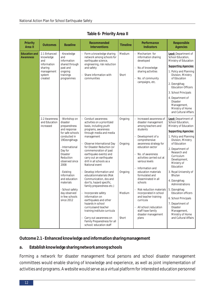| Priority<br>Area II                      | <b>Outcomes</b>                                                                               | <b>Baseline</b>                                                                                                                                                                                                                                                                                                                     | Recommended<br><b>Interventions</b>                                                                                                                                                                                                                                                                                                                                                                                                                                                                                                                                                                                                                                                                            | <b>Timeline</b>                                  | Performance<br><b>Indicators</b>                                                                                                                                                                                                                                                                                                                                                                                                                                                                              | Responsible<br><b>Agencies</b>                                                                                                                                                                                                                                                                                                                                                                                                                                                                        |
|------------------------------------------|-----------------------------------------------------------------------------------------------|-------------------------------------------------------------------------------------------------------------------------------------------------------------------------------------------------------------------------------------------------------------------------------------------------------------------------------------|----------------------------------------------------------------------------------------------------------------------------------------------------------------------------------------------------------------------------------------------------------------------------------------------------------------------------------------------------------------------------------------------------------------------------------------------------------------------------------------------------------------------------------------------------------------------------------------------------------------------------------------------------------------------------------------------------------------|--------------------------------------------------|---------------------------------------------------------------------------------------------------------------------------------------------------------------------------------------------------------------------------------------------------------------------------------------------------------------------------------------------------------------------------------------------------------------------------------------------------------------------------------------------------------------|-------------------------------------------------------------------------------------------------------------------------------------------------------------------------------------------------------------------------------------------------------------------------------------------------------------------------------------------------------------------------------------------------------------------------------------------------------------------------------------------------------|
| <b>Education and</b><br><b>Awareness</b> | 2.1 Enhanced<br>knowledge<br>and<br>information<br>sharing<br>management<br>system<br>created | - Knowledge<br>and<br>information<br>shared through<br>past and<br>ongoing<br>trainings<br>programmes                                                                                                                                                                                                                               | Form a knowledge sharing<br>network among schools for<br>earthquake science,<br>engineering, risk reduction<br>and safety<br>Share information with<br>communities                                                                                                                                                                                                                                                                                                                                                                                                                                                                                                                                             | Medium<br>Short                                  | Mechanism for<br>information sharing<br>developed<br>- No.of knowledge<br>sharing activities<br>No. of community<br>campaigns, etc.                                                                                                                                                                                                                                                                                                                                                                           | Lead: Department of<br>School Education,<br>Ministry of Education<br><b>Supporting Agencies:</b><br>1. Policy and Planning<br>Division, Ministry<br>of Education<br>2. Dzongkhag<br><b>Education Officers</b><br>3. School Principals<br>4. Department of<br><b>Disaster</b><br>Management,<br>Ministry of Home<br>and Cultural Affairs                                                                                                                                                               |
|                                          | 2.2 Awareness<br>and Education<br>increased                                                   | - Workshop on<br>disaster<br>preparedness<br>and response<br>for safe schools<br>conducted in<br>19Dzongkhags<br>- International<br>Day for<br><b>Disaster</b><br>Reduction<br>observed since<br>2008<br>- Existing<br>information<br>and education<br>materials<br>- School safety<br>day observed<br>in few schools<br>since 2012 | Conduct awareness<br>activities on a prioritized<br>basis, including youth<br>programs, awareness<br>through media and media<br>management<br>Observe International Day<br>for Disaster Reduction (or<br>commemoration of past<br>earthquake events) and<br>carry out an earthquake<br>drill in all schools as a<br>National event<br>Develop information and<br>educationmaterials (Risk<br>Communication, dos and<br>don'ts, hazard specific,<br>family preparedness etc.)<br>Incorporate safety<br>information on<br>earthquakes and other<br>hazards in school<br>curriculaand teacher<br>training institute curricula<br>Carry out awareness on<br>Family Preparedness for all<br>school/ education staff | Ongoing<br>Ongoing<br>Ongoing<br>Medium<br>Short | Increased awareness of<br>disaster management<br>among teachers and<br>students<br>Development of a<br>comprehensive<br>awareness strategy for<br>education sector<br>No. of awareness<br>activities carried out at<br>various levels<br>Information and<br>education materials<br>formulated and<br>disseminated in all<br>schools<br>Risk reduction materials<br>incorporated in school<br>and teacher training<br>curricula<br>All school / education<br>staff have family<br>disaster management<br>plans | Lead: Department of<br>School Education,<br>Ministry of Education<br><b>Supporting Agencies:</b><br>1. Policy and Planning<br>Division, Ministry<br>of Education<br>2. Department of<br>Research and<br>Curriculum<br>Development,<br>Ministry of<br>Education<br>3. Royal University of<br>Bhutan<br>4. Dzongkhag<br>Administrations<br>5. Dzongkhag<br><b>Education officers</b><br>6. School Principals<br>7. Department of<br>Disaster<br>Management,<br>Ministry of Home<br>and Cultural Affairs |

**Table 6- Priority Area II**

**Outcome 2.1 - Enhanced knowledge and information sharing management**

**a. Establish knowledge sharing network among schools**

Forming a network for disaster management focal persons and school disaster management committees would enable sharing of knowledge and experience, as well as joint implementation of activities and programs. A website would serve as a virtual platform for interested education personnel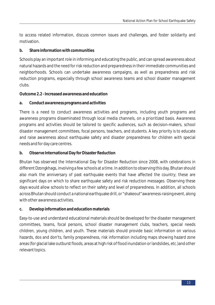to access related information, discuss common issues and challenges, and foster solidarity and motivation.

#### **b. Share information with communities**

Schools play an important role in informing and educating the public, and can spread awareness about natural hazards and the need for risk reduction and preparedness in their immediate communities and neighborhoods. Schools can undertake awareness campaigns, as well as preparedness and risk reduction programs, especially through school awareness teams and school disaster management clubs.

**Outcome 2.2 - Increased awareness and education**

**a. Conduct awareness programs and activities**

There is a need to conduct awareness activities and programs, including youth programs and awareness programs disseminated through local media channels, on a prioritized basis. Awareness programs and activities should be tailored to specific audiences, such as decision-makers, school disaster management committees, focal persons, teachers, and students. A key priority is to educate and raise awareness about earthquake safety and disaster preparedness for children with special needs and for day care centres.

**b. Observe International Day for Disaster Reduction**

Bhutan has observed the International Day for Disaster Reduction since 2008, with celebrations in different Dzongkhags, involving a few schools at a time. In addition to observing this day, Bhutan should also mark the anniversary of past earthquake events that have affected the country; these are significant days on which to share earthquake safety and risk reduction messages. Observing these days would allow schools to reflect on their safety and level of preparedness. In addition, all schools across Bhutan should conduct a national earthquake drill, or "shakeout"awareness-raising event, along with other awareness activities.

**c. Develop information and education materials**

Easy-to-use and understand educational materials should be developed for the disaster management committees, teams, focal persons, school disaster management clubs, teachers, special needs children, young children, and youth. These materials should provide basic information on various hazards, dos and don'ts, family preparedness, risk information including maps showing hazard zone areas (for glacial lake outburst floods, areas at high risk of flood inundation or landslides, etc.)and other relevant topics.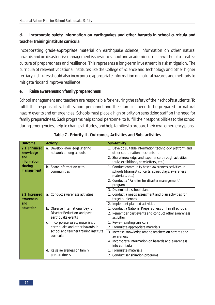**d. Incorporate safety information on earthquakes and other hazards in school curricula and teacher training institute curricula**

Incorporating grade-appropriate material on earthquake science, information on other natural hazards and on disaster risk management issues into school and academic curricula will help to create a culture of preparedness and resilience. This represents a long-term investment in risk mitigation. The curricula of relevant vocational institutes like the College of Science and Technology and other higher tertiary institutes should also incorporate appropriate information on natural hazards and methods to mitigate risk and improve resilience.

#### **e. Raise awareness on family preparedness**

School management and teachers are responsible for ensuring the safety of their school's students. To fulfill this responsibility, both school personnel and their families need to be prepared for natural hazard events and emergencies. Schools must place a high priority on sensitizing staff on the need for family preparedness. Such programs help school personnel to fulfill their responsibilities to the school during emergencies, help to change attitudes, and help families to prepare their own emergency plans.

| Outcome                                     | Activity                                                                             | Sub-Activity                                                                                                                 |
|---------------------------------------------|--------------------------------------------------------------------------------------|------------------------------------------------------------------------------------------------------------------------------|
| 2.1 Enhanced<br>knowledge                   | a. Develop knowledge sharing<br>network among schools                                | 1. Develop suitable information technology platform and<br>other coordination mechanisms                                     |
| and<br>information<br>sharing<br>management |                                                                                      | 2. Share knowledge and experience through activities<br>(quiz, exhibitions, newsletters, etc.)                               |
|                                             | b. Share information with<br>communities                                             | 1. Conduct community based awareness activities in<br>schools (dramas/ concerts, street plays, awareness<br>materials, etc.) |
|                                             |                                                                                      | 2. Conduct a "Families for disaster management"<br>program                                                                   |
|                                             |                                                                                      | 3. Disseminate school plans                                                                                                  |
| 2.2 Increased<br>awareness                  | a. Conduct awareness activities                                                      | 1. Conduct a needs assessment and plan activities for<br>target audiences                                                    |
| and                                         |                                                                                      | 2. Implement planned activities                                                                                              |
| education                                   | b. Observe International Day for<br>Disaster Reduction and past<br>earthquake events | 1. Conduct a National Preparedness drill in all schools                                                                      |
|                                             |                                                                                      | 2. Remember past events and conduct other awareness<br>activities                                                            |
|                                             | c. Incorporate safety materials on                                                   | 1. Review existing curricula                                                                                                 |
|                                             | earthquake and other hazards in                                                      | 2. Formulate appropriate materials                                                                                           |
|                                             | school and teacher training institute<br>curricula                                   | 3. Increase knowledge among teachers on hazards and<br>awareness                                                             |
|                                             |                                                                                      | 4. Incorporate information on hazards and awareness<br>into curricula                                                        |
|                                             | d. Raise awareness on family                                                         | 1. Formulate materials                                                                                                       |
|                                             | preparedness                                                                         | 2. Conduct sensitization programs                                                                                            |

|  | Table 7 - Priority II - Outcomes, Activities and Sub- activities |  |  |
|--|------------------------------------------------------------------|--|--|
|  |                                                                  |  |  |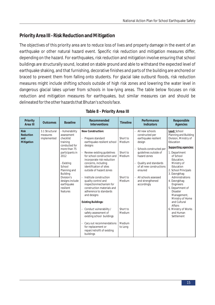# **Priority Area III - Risk Reduction and Mitigation**

The objectives of this priority area are to reduce loss of lives and property damage in the event of an earthquake or other natural hazard event. Specific risk reduction and mitigation measures differ, depending on the hazard. For earthquakes, risk reduction and mitigation involve ensuring that school buildings are structurally sound, located on stable ground and able to withstand the expected level of earthquake shaking, and that furnishing, decorative finishes and parts of the building are anchored or braced to prevent them from falling onto students. For glacial lake outburst floods, risk reduction measures might include shifting schools outside of high risk zones and lowering the water level in dangerous glacial lakes upriver from schools in low-lying areas. The table below focuses on risk reduction and mitigation measures for earthquakes, but similar measures can and should be delineated for the other hazards that Bhutan's schools face.

| Priority<br>Area III                          | <b>Outcomes</b>                           | <b>Baseline</b>                                                                                                                                                                                                                                | Recommended<br><i><u><b>Interventions</b></u></i>                                                                                                                                                                                                                                                                                                                                                                                                                                                                                                                                                                      | <b>Timeline</b>                                                                                           | Performance<br><b>Indicators</b>                                                                                                                                                                                                                                    | Responsible<br>Agencies                                                                                                                                                                                                                                                                                                                                                                                                            |
|-----------------------------------------------|-------------------------------------------|------------------------------------------------------------------------------------------------------------------------------------------------------------------------------------------------------------------------------------------------|------------------------------------------------------------------------------------------------------------------------------------------------------------------------------------------------------------------------------------------------------------------------------------------------------------------------------------------------------------------------------------------------------------------------------------------------------------------------------------------------------------------------------------------------------------------------------------------------------------------------|-----------------------------------------------------------------------------------------------------------|---------------------------------------------------------------------------------------------------------------------------------------------------------------------------------------------------------------------------------------------------------------------|------------------------------------------------------------------------------------------------------------------------------------------------------------------------------------------------------------------------------------------------------------------------------------------------------------------------------------------------------------------------------------------------------------------------------------|
| <b>Risk</b><br>Reduction<br>and<br>Mitigation | 3.1 Structural<br>measures<br>implemented | - Vulnerability<br>assessment<br>checklist<br>training<br>conducted for<br>more than 75<br>participants in<br>2012<br>- Existing<br>School<br>Planning and<br>Building<br>Division's<br>designs include<br>earthquake<br>resilient<br>features | New Construction:<br>Prepare standard<br>earthquake-resilient school<br>designs<br>Review existing guidelines<br>for school construction and<br>incorporate risk reduction<br>concerns, including<br>identification of sites<br>outside of hazard zones<br>Institute construction<br>quality control and<br>inspectionmechanism for<br>construction materials and<br>adherence to standards<br>and designs<br><b>Existing Buildings:</b><br>Conduct vulnerability /<br>safety assessment of<br>existing school buildings<br>Cary out recommendations<br>for replacement or<br>repair/retrofit of existing<br>buildings | Short to<br>Medium<br>Short to<br>Medium<br>Short to<br>Medium<br>Short to<br>Medium<br>Medium<br>to Long | All new schools<br>constructed per<br>earthquake resilient<br>design<br>Schools constructed per<br>quidelines outside of<br>hazard zones<br>Quality and standards<br>of all new constructions<br>ensured<br>All schools assessed<br>and strengthened<br>accordingly | Lead: School<br>Planning and Building<br>Division, Ministry of<br>Education<br>Supporting agencies:<br>1. Department<br>of School<br>Education.<br>Ministry of<br>Education<br>2. School Principals<br>3. Dzongkhag<br>Administrations<br>4. Dzongkhag<br>Engineers<br>5. Department of<br><b>Disaster</b><br>Management,<br>Ministry of Home<br>and Cultural<br><b>Affairs</b><br>6. Ministry of Works<br>and Human<br>Settlement |

#### **Table 8 - Priority Area III**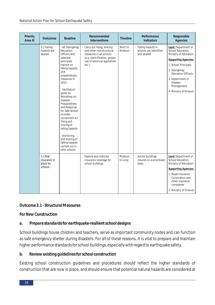| Priority<br>Area III | <b>Outcomes</b>                                  | <b>Baseline</b>                                                                                                                                                                                                                                                                                                                                                                                                                              | Recommended<br><b>Interventions</b>                                                                                                                        | Timeline           | Performance<br>Indicators                                  | Responsible<br><b>Agencies</b>                                                                                                                                                                                                                       |
|----------------------|--------------------------------------------------|----------------------------------------------------------------------------------------------------------------------------------------------------------------------------------------------------------------------------------------------------------------------------------------------------------------------------------------------------------------------------------------------------------------------------------------------|------------------------------------------------------------------------------------------------------------------------------------------------------------|--------------------|------------------------------------------------------------|------------------------------------------------------------------------------------------------------------------------------------------------------------------------------------------------------------------------------------------------------|
|                      | 3.2 Falling<br>hazards are<br>abated             | - All Dzongkhag<br>Education<br>Officers and<br>selected<br>principals<br>trained on<br>falling hazards<br>and<br>preparedness<br>measures in<br>2010<br>- Facilitators'<br>quide for<br>Workshop on<br><b>Disaster</b><br>Preparedness<br>and Response<br>for Safe School<br>includes<br>component on<br>fixing and<br>bracing of<br>falling hazards<br>- Anchoring<br>and bracing of<br>falling hazards<br>carried out in<br>pilot schools | Carry out fixing, bracing<br>and other non-structural<br>measures in all schools<br>(e.g. electrification, proper<br>use of electrical appliances<br>etc.) | Short to<br>Medium | Falling hazards in<br>schools are identified<br>and abated | Lead: Department of<br>School Education,<br>Ministry of Education<br><b>Supporting Agencies:</b><br>1. School Principals<br>2. Dzongkhag<br><b>Education Officers</b><br>3. Department of<br><b>Disaster</b><br>Management<br>4. Ministry of Finance |
|                      | 3.3 Risk<br>Insurance in<br>place for<br>schools |                                                                                                                                                                                                                                                                                                                                                                                                                                              | Explore and institute<br>insurance coverage for<br>school buildings                                                                                        | Medium<br>to Long  | School buildings<br>insured on a prioritized<br>basis      | Lead: Department of<br>School Education,<br>Ministry of Education<br><b>Supporting Agencies:</b><br>1. Royal Insurance<br>Corporation and<br>other insurance<br>companies<br>2. Ministry of Finance                                                  |

#### *Outcome 3.1 - Structural Measures*

#### *For New Construction*

#### *a. Prepare standards for earthquake-resilient school designs*

School buildings house children and teachers, serve as important community nodes and can function as safe emergency shelter during disasters. For all of these reasons, it is vital to prepare and maintain higher performance standards for school buildings, especially with regard to earthquake safety.

#### *b. Review existing guidelines for school construction*

Existing school construction guidelines and procedures should reflect the higher standards of construction that are now in place, and should ensure that potential natural hazards are considered at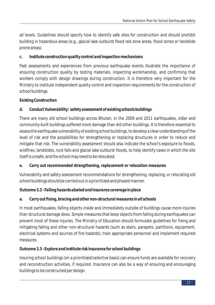all levels. Guidelines should specify how to identify safe sites for construction and should prohibit building in hazardous areas (e.g., glacial lake outburst flood red zone areas, flood zones or landslide prone areas).

### *c. Institute construction quality control and inspection mechanisms*

Past assessments and experiences from previous earthquake events illustrate the importance of ensuring construction quality by testing materials, inspecting workmanship, and confirming that workers comply with design drawings during construction. It is therefore very important for the Ministry to institute independent quality control and inspection requirements for the construction of school buildings.

### *Existing Construction*

## *d. Conduct Vulnerability/ safety assessment of existing schools buildings*

There are many old school buildings across Bhutan; in the 2009 and 2011 earthquakes, older and community-built buildings suffered more damage than did other buildings. It is therefore essential to assess the earthquake vulnerability of existing school buildings, to develop a clear understanding of the level of risk and the possibilities for strengthening or replacing structures in order to reduce and mitigate that risk. The vulnerability assessment should also indicate the school's exposure to floods, wildfires, landslides, rock falls and glacial lake outburst floods, to help identify cases in which the site itself is unsafe, and the school may need to be relocated.

#### *e. Carry out recommended strengthening, replacement or relocation measures*

Vulnerability and safety assessment recommendations for strengthening, replacing, or relocating old school buildings should be carried out in a prioritized and phased manner.

#### *Outcome 3.2 - Falling hazards abated and insurance coverage in place*

#### *a. Carry out fixing, bracing and other non-structural measures in all schools*

In most earthquakes, falling objects inside and immediately outside of buildings cause more injuries than structural damage does. Simple measures that keep objects from falling during earthquakes can prevent most of these injuries. The Ministry of Education should formulate guidelines for fixing and mitigating falling and other non-structural hazards (such as stairs, parapets, partitions, equipment, electrical systems and sources of fire hazards), train appropriate personnel and implement required measures.

#### *Outcome 3.3 - Explore and institute risk insurance for school buildings*

Insuring school buildings (on a prioritized/selective basis) can ensure funds are available for recovery and reconstruction activities, if required. Insurance can also be a way of ensuring and encouraging buildings to be constructed per design.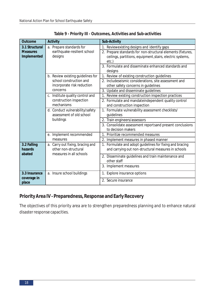| Outcome                        | Activity                                                                            | Sub-Activity                                                                                                                          |
|--------------------------------|-------------------------------------------------------------------------------------|---------------------------------------------------------------------------------------------------------------------------------------|
| 3.1 Structural                 | a. Prepare standards for                                                            | Reviewexisting designs and identify gaps                                                                                              |
| <b>Measures</b><br>Implemented | earthquake-resilient school<br>designs                                              | 2. Prepare standards for non-structural elements (fixtures,<br>ceilings, partitions, equipment, stairs, electric systems,<br>$etc.$ ) |
|                                |                                                                                     | 3. Formulate and disseminate enhanced standards and<br>designs                                                                        |
|                                | b. Review existing guidelines for                                                   | 1. Review of existing construction guidelines                                                                                         |
|                                | school construction and<br>incorporate risk reduction                               | 2. Includeseismic considerations, site assessment and<br>other safety concerns in guidelines                                          |
|                                | concerns                                                                            | 3. Update and disseminate guidelines                                                                                                  |
|                                | c. Institute quality control and                                                    | 1. Review existing construction inspection practices                                                                                  |
|                                | construction inspection<br>mechanisms                                               | 2. Formulate and mandateindependent quality control<br>and construction inspection                                                    |
|                                | d. Conduct vulnerability/safety<br>assessment of old school                         | 1. Formulate vulnerability assessment checklists/<br>guidelines                                                                       |
|                                | buildings                                                                           | 2. Train engineers/assessors                                                                                                          |
|                                |                                                                                     | 3. Consolidate assessment reportsand present conclusions<br>to decision makers                                                        |
|                                | e. Implement recommended<br>measures                                                | 1. Prioritize recommended measures                                                                                                    |
|                                |                                                                                     | 2. Implement measures in phased manner                                                                                                |
| 3.2 Falling<br>hazards         | a. Carry out fixing, bracing and<br>other non-structural<br>measures in all schools | 1. Formulate and adopt guidelines for fixing and bracing<br>and carrying out non-structural measures in schools                       |
| abated                         |                                                                                     | 2. Disseminate guidelines and train maintenance and<br>other staff                                                                    |
|                                |                                                                                     | 3. Implement measures                                                                                                                 |
| 3.3 Insurance                  | a. Insure school buildings                                                          | 1. Explore insurance options                                                                                                          |
| coverage in<br>place           |                                                                                     | 2. Secure insurance                                                                                                                   |

**Table 9 - Priority III - Outcomes, Activities and Sub-activities**

## **Priority Area IV - Preparedness, Response and Early Recovery**

The objectives of this priority area are to strengthen preparedness planning and to enhance natural disaster response capacities.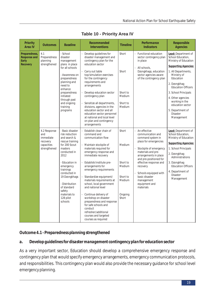| Priority<br>Area IV                                | <b>Outcomes</b>                                                            | <b>Baseline</b>                                                                                                                                                                                                                                                                           | Recommended<br><b>Interventions</b>                                                                                                                                                                                                                                                                                                                                                                                                                                                                                                                                                                         | <b>Timeline</b>                                                                 | Performance<br><b>Indicators</b>                                                                                                                                                                                                                                                                                  | Responsible<br><b>Agencies</b>                                                                                                                                                                                                                                                                                                    |
|----------------------------------------------------|----------------------------------------------------------------------------|-------------------------------------------------------------------------------------------------------------------------------------------------------------------------------------------------------------------------------------------------------------------------------------------|-------------------------------------------------------------------------------------------------------------------------------------------------------------------------------------------------------------------------------------------------------------------------------------------------------------------------------------------------------------------------------------------------------------------------------------------------------------------------------------------------------------------------------------------------------------------------------------------------------------|---------------------------------------------------------------------------------|-------------------------------------------------------------------------------------------------------------------------------------------------------------------------------------------------------------------------------------------------------------------------------------------------------------------|-----------------------------------------------------------------------------------------------------------------------------------------------------------------------------------------------------------------------------------------------------------------------------------------------------------------------------------|
| Preparedness,<br>Response and<br>Early<br>Recovery | 4.1<br>Preparedness<br>planning<br>strengthened                            | - School<br>disaster<br>management<br>plans in place<br>for all schools<br>- Awareness on<br>preparedness<br>planning and<br>need to<br>enhance<br>preparedness<br>initiated<br>through past<br>and ongoing<br>training<br>programs                                                       | Develop guidelines for<br>disaster management and<br>contingency plan for the<br>education sector<br>Carry out table<br>top/simulation exercises<br>for the contingency<br>requirements and<br>arrangements<br>Develop education sector<br>contingency plan<br>Sensitize all departments,<br>divisions, agencies in the<br>education sector and all<br>education sector personnel<br>at national and local level<br>on plan and contingency<br>arrangements                                                                                                                                                 | Short<br>Short<br>Short to<br>Medium<br>Short to<br>Medium                      | - Functional education<br>sector contingency plan<br>in place<br>All schools,<br>Dzongkhags, education<br>sector agencies aware<br>of the contingency plan                                                                                                                                                        | Lead: Department of<br>School Education,<br>Ministry of Education<br><b>Supporting Agencies:</b><br>1. All Departments,<br>Ministry of<br>Education<br>2. Dzongkhag<br><b>Education Officers</b><br>3. School Principals<br>4. Other agencies<br>working in the<br>education sector<br>5. Department of<br>Disaster<br>Management |
|                                                    | 4.2 Response<br>and<br>immediate<br>recovery<br>capacities<br>strengthened | - Basic disaster<br>risk reduction<br>and search &<br>rescue training<br>for 200 Scout<br>masters<br>conducted in<br>2012<br>- Education in<br>emergency<br>trainings<br>conducted in<br>19 Dzongkhags<br>- Distribution<br>of standard<br>safety<br>materials to<br>128 pilot<br>schools | Establish clear chain of<br>$\overline{a}$<br>command and<br>communication flow<br>$\overline{\phantom{a}}$<br>Maintain stockpile of<br>materials required for<br>emergency response and<br>immediate recovery<br>Establish/institute pre-<br>$\frac{1}{2}$<br>arrangements for<br>emergency requirements<br>Standardize equipment/<br>materials requirements at<br>school, local government<br>and national level<br>- Continue delivery of<br>workshop on disaster<br>preparedness and response<br>for safe schools and<br>conduct<br>refresher/additional<br>courses and targeted<br>courses as required | Short<br>Medium<br>Short to<br>Medium<br>Short to<br>Medium<br>Ongoing<br>Short | - An effective<br>communication and<br>command system in<br>place for emergencies<br>Stockpile of emergency<br>materials and pre-<br>arrangements in place<br>and pre-positioned for<br>effective response and<br>recovery<br>Schools equipped with<br>basic disaster<br>management<br>equipment and<br>materials | Lead: Department of<br>School Education,<br>Ministry of Education<br><b>Supporting Agencies:</b><br>1. School Principals<br>2. Dzongkhag<br>Administrations<br>3. Dzongkhag<br><b>Education Officers</b><br>4. Department of<br><b>Disaster</b><br>Management                                                                     |

#### **Table 10 - Priority Area IV**

*Outcome 4.1 - Preparedness planning strengthened*

#### *a. Develop guidelines for disaster management contingency plan for education sector*

As a very important sector, Education should develop a comprehensive emergency response and contingency plan that would specify emergency arrangements, emergency communication protocols, and responsibilities. This contingency plan would also provide the necessary guidance for school level emergency planning.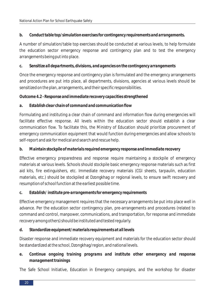#### *b. Conduct table top/simulation exercises for contingency requirements and arrangements.*

A number of simulation/table top exercises should be conducted at various levels, to help formulate the education sector emergency response and contingency plan and to test the emergency arrangements being put into place.

#### *c. Sensitize all departments, divisions, and agencies on the contingency arrangements*

Once the emergency response and contingency plan is formulated and the emergency arrangements and procedures are put into place, all departments, divisions, agencies at various levels should be sensitized on the plan, arrangements, and their specific responsibilities.

#### *Outcome 4.2 - Response and immediate recovery capacities strengthened*

#### *a. Establish clear chain of command and communication flow*

Formulating and instituting a clear chain of command and information flow during emergencies will facilitate effective response. All levels within the education sector should establish a clear communication flow. To facilitate this, the Ministry of Education should prioritize procurement of emergency communication equipment that would function during emergencies and allow schools to self-report and ask for medical and search and rescue help.

#### *b. Maintain stockpile of materials required emergency response and immediate recovery*

Effective emergency preparedness and response require maintaining a stockpile of emergency materials at various levels. Schools should stockpile basic emergency response materials such as first aid kits, fire extinguishers, etc. Immediate recovery materials (CGI sheets, tarpaulin, education materials, etc.) should be stockpiled at Dzongkhag or regional levels, to ensure swift recovery and resumption of school function at the earliest possible time.

#### *c. Establish/ institute pre-arrangements for emergency requirements*

Effective emergency management requires that the necessary arrangements be put into place well in advance. Per the education sector contingency plan, pre-arrangements and procedures (related to command and control, manpower, communications, and transportation, for response and immediate recovery among others) should be instituted and tested regularly.

#### *d. Standardize equipment/materials requirements at all levels*

Disaster response and immediate recovery equipment and materials for the education sector should be standardized at the school, Dzongkhag/region, and national levels.

*e. Continue ongoing training programs and institute other emergency and response management trainings*

The Safe School Initiative, Education in Emergency campaigns, and the workshop for disaster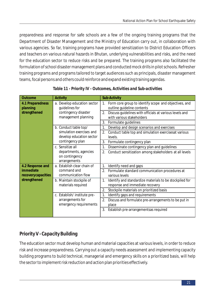preparedness and response for safe schools are a few of the ongoing training programs that the Department of Disaster Management and the Ministry of Education carry out, in collaboration with various agencies. So far, training programs have provided sensitization to District Education Officers and teachers on various natural hazards in Bhutan, underlying vulnerabilities and risks, and the need for the education sector to reduce risks and be prepared. The training programs also facilitated the formulation of school disaster management plans and conducted mock drills in pilot schools. Refresher training programs and programs tailored to target audiences such as principals, disaster management teams, focal persons and others could reinforce and expand existing training agendas.

| Outcome                         | Activity                                                                 | Sub-Activity                                                                                                 |
|---------------------------------|--------------------------------------------------------------------------|--------------------------------------------------------------------------------------------------------------|
| 4.1 Preparedness<br>planning    | a. Develop education sector<br>quidelines for                            | Form core group to identify scope and objectives, and<br>outline guideline contents                          |
| strengthened                    | contingency disaster<br>management planning                              | Discuss guidelines with officials at various levels and<br>2.<br>with various stakeholders                   |
|                                 |                                                                          | Formulate guidelines<br>3.                                                                                   |
|                                 | b. Conduct table top/                                                    | Develop and design scenarios and exercises<br>$\mathbf{1}$ .                                                 |
|                                 | simulation exercises and<br>develop education sector<br>contingency plan | Conduct table top and simulation exercisesat various<br>2.<br>levels.                                        |
|                                 |                                                                          | 3.<br>Formulate contingency plan                                                                             |
|                                 | c. Sensitize all                                                         | Disseminate contingency plan and guidelines<br>1.                                                            |
|                                 | departments, agencies<br>on contingency<br>arrangements                  | 2.<br>Conduct sensitization among stakeholders at all levels                                                 |
| 4.2 Response and                | a. Establish clear chain of                                              | Identify need and gaps<br>1.                                                                                 |
| immediate<br>recoverycapacities | command and<br>communication flow                                        | Formulate standard communication procedures at<br>2.<br>various levels                                       |
| strengthened                    | b. Maintain stockpile of<br>materials required                           | Identify and standardize materials to be stockpiled for<br>$\mathbf{1}$ .<br>response and immediate recovery |
|                                 |                                                                          | 2.<br>Stockpile materials on prioritized basis                                                               |
|                                 | c. Establish/ institute pre-                                             | Identify gaps and requirements<br>1.                                                                         |
|                                 | arrangements for<br>emergency requirements                               | Discuss and formulate pre-arrangements to be put in<br>2.<br>place                                           |
|                                 |                                                                          | Establish pre-arrangementsas required<br>3.                                                                  |

| Table 11 - Priority IV - Outcomes, Activities and Sub-activities |  |
|------------------------------------------------------------------|--|
|                                                                  |  |

# *Priority V - Capacity Building*

The education sector must develop human and material capacities at various levels, in order to reduce risk and increase preparedness. Carrying out a capacity needs assessment and implementing capacity building programs to build technical, managerial and emergency skills on a prioritized basis, will help the sector to implement risk reduction and action plan priorities effectively.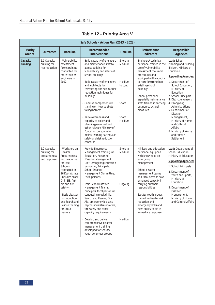|                      | Safe Schools - Action Plan (2013 - 2023)                     |                                                                                                                                                                                                                                                                                               |                                                                                                                                                                                                                                                                                                                                                                                                                                                                                                                                                                                                      |                                                                      |                                                                                                                                                                                                                                                                                                                                                                              |                                                                                                                                                                                                                                                                                                                                                                                                                             |
|----------------------|--------------------------------------------------------------|-----------------------------------------------------------------------------------------------------------------------------------------------------------------------------------------------------------------------------------------------------------------------------------------------|------------------------------------------------------------------------------------------------------------------------------------------------------------------------------------------------------------------------------------------------------------------------------------------------------------------------------------------------------------------------------------------------------------------------------------------------------------------------------------------------------------------------------------------------------------------------------------------------------|----------------------------------------------------------------------|------------------------------------------------------------------------------------------------------------------------------------------------------------------------------------------------------------------------------------------------------------------------------------------------------------------------------------------------------------------------------|-----------------------------------------------------------------------------------------------------------------------------------------------------------------------------------------------------------------------------------------------------------------------------------------------------------------------------------------------------------------------------------------------------------------------------|
| Priority<br>Area V   | <i>Outcomes</i>                                              | <b>Baseline</b>                                                                                                                                                                                                                                                                               | Recommended<br><b>Interventions</b>                                                                                                                                                                                                                                                                                                                                                                                                                                                                                                                                                                  | <b>Timeline</b>                                                      | Performance<br><b>Indicators</b>                                                                                                                                                                                                                                                                                                                                             | Responsible<br>Agencies                                                                                                                                                                                                                                                                                                                                                                                                     |
| Capacity<br>building | 5.1 Capacity<br>building for<br>risk reduction               | - Vulnerability<br>assessment<br>forms training<br>conducted for<br>more than 75<br>engineers in<br>2012                                                                                                                                                                                      | Build capacity of engineers<br>and maintenance staff to<br>assess building for<br>vulnerability and safety of<br>school buildings<br>Build capacity of engineers<br>and architects for<br>retrofitting and seismic risk<br>reduction techniques for<br>buildings<br>Conduct comprehensive<br>training on how to abate<br>falling hazards<br>Raise awareness and<br>capacity of policy and<br>planning personnel and<br>other relevant Ministry of<br>Education personnel on<br>mainstreaming earthquake<br>safety and risk reduction<br>concerns                                                     | Short to<br>Medium<br>Medium<br>to Long<br>Short<br>Short,<br>Medium | Engineers/technical<br>personnel trained in the<br>use of vulnerability<br>assessment tools and<br>procedures and<br>equipped with capacity<br>to retrofit/strengthen<br>existing school<br>buildings<br>School personnel,<br>especially maintenance<br>staff, trained in carrying<br>out non-structural<br>measures                                                         | Lead: School<br>Planning and Building<br>division, Ministry of<br>Education<br><b>Supporting Agencies:</b><br>1. Department of<br>School Education,<br>Ministry of<br>Education<br>2. School Principals<br>3. District engineers<br>4. Dzongkhag<br>Administrations<br>5. Department of<br><b>Disaster</b><br>Management,<br>Ministry of Home<br>and Cultural<br>Affairs<br>6. Ministry of Works<br>and Human<br>Settlement |
|                      | 5.2 Capacity<br>building for<br>preparedness<br>and response | - Workshop on<br><b>Disaster</b><br>Preparedness<br>and Response<br>for Safe<br>Schools<br>conducted in<br>16 Dzongkhags<br>(includes Mock<br>Drill, EIE, first<br>aid and fire<br>safety)<br>- Basic disaster<br>risk reduction<br>and Search and<br>Rescue training<br>for Scout<br>masters | Provide Emergency<br>Management training for<br>Education. Personnel<br>(Disaster Management<br>Unit, Dzongkhag Education<br>personnel, Principals,<br><b>School Disaster</b><br>Management Committee,<br>Focal persons)<br>Train School Disaster<br>Management Teams,<br>Principals, focal persons in<br>conducting mock drills,<br>Search and Rescue, First<br>Aid, emergency logistics<br>psycho-social/trauma care,<br>fire safety and other<br>capacity requirements<br>Develop and deliver<br>comprehensive disaster<br>management training<br>developed for Scouts/<br>youth volunteer groups | Short to<br>Medium<br>Ongoing<br>Medium                              | Ministry and education<br>personnel equipped<br>with knowledge on<br>emergency<br>management<br>School disaster<br>management teams<br>and focal persons have<br>enhanced capacity in<br>carrying out their<br>responsibilities<br>Scouts/ youth groups<br>trained in disaster risk<br>reduction and<br>emergency skills and<br>have ability to aid in<br>immediate response | Lead: Department of<br>School Education,<br>Ministry of Education<br><b>Supporting Agencies:</b><br>1. School Principals<br>2. Department of<br>Youth and Sports,<br>Ministry of<br>Education<br>3. Department of<br><b>Disaster</b><br>Management,<br>Ministry of Home<br>and Cultural Affairs                                                                                                                             |

#### **Table 12 - Priority Area V**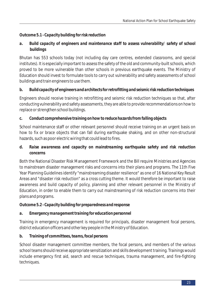### *Outcome 5.1 - Capacity building for risk reduction*

*a. Build capacity of engineers and maintenance staff to assess vulnerability/ safety of school buildings*

Bhutan has 553 schools today (not including day care centres, extended classrooms, and special institutes). It is especially important to assess the safety of the old and community-built schools, which proved to be more vulnerable than other schools in previous earthquake events. The Ministry of Education should invest to formulate tools to carry out vulnerability and safety assessments of school buildings and train engineers to use them.

#### *b. Build capacity of engineers and architects for retrofitting and seismic risk reduction techniques*

Engineers should receive training in retrofitting and seismic risk reduction techniques so that, after conducting vulnerability and safety assessments, they are able to provide recommendations on how to replace or strengthen school buildings.

#### *c. Conduct comprehensive training on how to reduce hazards from falling objects*

School maintenance staff or other relevant personnel should receive training on an urgent basis on how to fix or brace objects that can fall during earthquake shaking, and on other non-structural hazards, such as poor electric wiring that could lead to fires.

*d. Raise awareness and capacity on mainstreaming earthquake safety and risk reduction concerns*

Both the National Disaster Risk Management Framework and the Bill require Ministries and Agencies to mainstream disaster management risks and concerns into their plans and programs. The 11th Five Year Planning Guidelines identify "mainstreaming disaster resilience" as one of 16 National Key Result Areas and "disaster risk reduction" as a cross cutting theme. It would therefore be important to raise awareness and build capacity of policy, planning and other relevant personnel in the Ministry of Education, in order to enable them to carry out mainstreaming of risk reduction concerns into their plans and programs.

#### *Outcome 5.2 - Capacity building for preparedness and response*

#### *a. Emergency management training for education personnel*

Training in emergency management is required for principals, disaster management focal persons, district education officers and other key people in the Ministry of Education.

*b. Training of committees, teams, focal persons*

School disaster management committee members, the focal persons, and members of the various school teams should receive appropriate sensitization and skills development training. Trainings would include emergency first aid, search and rescue techniques, trauma management, and fire-fighting techniques.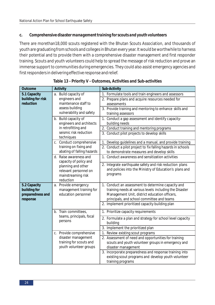#### *c. Comprehensive disaster management training for scouts and youth volunteers*

There are morethan18,000 scouts registered with the Bhutan Scouts Association, and thousands of youth are graduating from schools and colleges in Bhutan every year. It would be worthwhile to harness their potential and to provide them with a comprehensive disaster management and first responder training. Scouts and youth volunteers could help to spread the message of risk reduction and prove an immense support to communities during emergencies. They could also assist emergency agencies and first responders in delivering effective response and relief.

| Outcome                                                      | Activity                                                                                                 | Sub-Activity                                                                                                                                                                                                 |
|--------------------------------------------------------------|----------------------------------------------------------------------------------------------------------|--------------------------------------------------------------------------------------------------------------------------------------------------------------------------------------------------------------|
| 5.1 Capacity<br>building for risk                            | a. Build capacity of<br>engineers and                                                                    | 1. Formulate tools and train engineers and assessors<br>2. Prepare plans and acquire resources needed for                                                                                                    |
| reduction                                                    | maintenance staff to<br>assess building<br>vulnerability and safety                                      | assessments                                                                                                                                                                                                  |
|                                                              |                                                                                                          | 3. Provide training and mentoring to enhance skills and<br>training assessors                                                                                                                                |
|                                                              | b. Build capacity of<br>engineers and architects                                                         | 1. Conduct a gap assessment and identify capacity-<br>building needs                                                                                                                                         |
|                                                              | in retrofitting and<br>seismic risk reduction                                                            | 2. Conduct training and mentoring programs<br>3. Conduct pilot projects to develop skills                                                                                                                    |
|                                                              | techniques<br>c. Conduct comprehensive                                                                   | 1. Develop guidelines and a manual, and provide training                                                                                                                                                     |
|                                                              | training on fixing and<br>abating of falling hazards                                                     | 2. Conduct a pilot project to fix falling hazards in schools<br>to demonstrate measures and develop skills                                                                                                   |
|                                                              | d. Raise awareness and                                                                                   | 1. Conduct awareness and sensitization activities                                                                                                                                                            |
|                                                              | capacity of policy and<br>planning and other<br>relevant personnel on<br>mainstreaming risk<br>reduction | 2. Integrate earthquake safety and risk reduction plans<br>and policies into the Ministry of Education's plans and<br>programs                                                                               |
| 5.2 Capacity<br>building for<br>preparedness and<br>response | a. Provide emergency<br>management training for<br>education personnel                                   | 1. Conduct an assessment to determine capacity and<br>training needs at various levels including the Disaster<br>Management Unit, district education officers,<br>principals, and school committee and teams |
|                                                              |                                                                                                          | 2. Implement prioritized capacity building plan                                                                                                                                                              |
|                                                              | b. Train committees,                                                                                     | 1. Prioritize capacity requirements                                                                                                                                                                          |
|                                                              | teams, principals, focal<br>persons                                                                      | 2. Formulate a plan and strategy for school level capacity<br>building                                                                                                                                       |
|                                                              |                                                                                                          | 3. Implement the prioritized plan                                                                                                                                                                            |
|                                                              | c. Provide comprehensive<br>disaster management                                                          | 1. Review existing scout programs<br>2. Assessment of need and opportunities for training                                                                                                                    |
|                                                              | training for scouts and<br>youth volunteer groups                                                        | scouts and youth volunteer groups in emergency and<br>disaster management                                                                                                                                    |
|                                                              |                                                                                                          | 3. Incorporate preparedness and response training into<br>existing scout programs and develop youth volunteer<br>training programs                                                                           |

**Table 13 - Priority V - Outcomes, Activities and Sub-activities**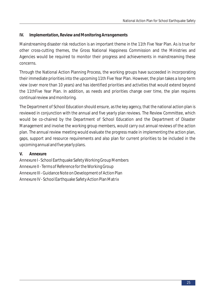#### *IV. Implementation, Review and Monitoring Arrangements*

Mainstreaming disaster risk reduction is an important theme in the 11th Five Year Plan. As is true for other cross-cutting themes, the Gross National Happiness Commission and the Ministries and Agencies would be required to monitor their progress and achievements in mainstreaming these concerns.

Through the National Action Planning Process, the working groups have succeeded in incorporating their immediate priorities into the upcoming 11th Five Year Plan. However, the plan takes a long-term view (over more than 10 years) and has identified priorities and activities that would extend beyond the 11thFive Year Plan. In addition, as needs and priorities change over time, the plan requires continual review and monitoring.

The Department of School Education should ensure, as the key agency, that the national action plan is reviewed in conjunction with the annual and five yearly plan reviews. The Review Committee, which would be co-chaired by the Department of School Education and the Department of Disaster Management and involve the working group members, would carry out annual reviews of the action plan. The annual review meeting would evaluate the progress made in implementing the action plan, gaps, support and resource requirements and also plan for current priorities to be included in the upcoming annual and five yearly plans.

#### *V. Annexure*

Annexure I - School Earthquake Safety Working Group Members Annexure II - Terms of Reference for the Working Group Annexure III - Guidance Note on Development of Action Plan Annexure IV - School Earthquake Safety Action Plan Matrix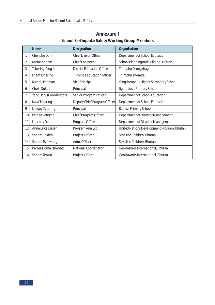|                | Name                     | Designation                       | Organisation                               |
|----------------|--------------------------|-----------------------------------|--------------------------------------------|
|                | Chencho Dorji            | Chief Liaison Officer             | Department of School Education             |
| $\overline{2}$ | Karma Sonam              | <b>Chief Engineer</b>             | School Planning and Building Division      |
| 3              | Tshering Yangden         | <b>District Education Officer</b> | Thimphu Dzongkhag                          |
| 4              | Lham Tshering            | Thromde Education officer         | Thimphu Thomde                             |
| 5              | Kamal Hingman            | Vice Principal                    | Yangchenphug Higher Secondary School       |
| 6              | Choki Dukpa              | Principal                         | Jigme Losel Primary School                 |
| 7              | Yang Dorji (Coordinator) | Senior Program Officer            | Department of School Education             |
| 8              | Kaka Tshering            | Deputy Chief Program Officer      | Department of School Education             |
| 9              | <b>Lhagey Tshering</b>   | Principal                         | Babesa Primary School                      |
| 10             | Pelden Zangmo            | Chief Program Officer             | Department of Disaster Management          |
| 11             | Lhachey Dema             | Program Officer                   | Department of Disaster Management          |
| 12             | Anne Erica Larsen        | Program Analyst                   | United Nations Development Program, Bhutan |
| 13             | Sonam Pelden             | Project Officer                   | Save the Children, Bhutan                  |
| 14             | Sonam Tshewang           | Adm. Officer                      | Save the Children, Bhutan                  |
| 15             | Karma Doma Tshering      | National Coordinator              | GeoHazards International, Bhutan           |
| 16             | Sonam Tenzin             | Project Officer                   | GeoHazards International, Bhutan           |

# **Annexure I School Earthquake Safety Working Group Members**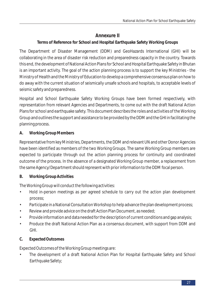## **Annexure II**

## **Terms of Reference for School and Hospital Earthquake Safety Working Groups**

The Department of Disaster Management (DDM) and GeoHazards International (GHI) will be collaborating in the area of disaster risk reduction and preparedness capacity in the country. Towards this end, the development of National Action Plans for School and Hospital Earthquake Safety in Bhutan is an important activity. The goal of the action planning process is to support the key Ministries - the Ministry of Health and the Ministry of Education to develop a comprehensive consensus plan on how to do away with the current situation of seismically unsafe schools and hospitals, to acceptable levels of seismic safety and preparedness.

Hospital and School Earthquake Safety Working Groups have been formed respectively, with representation from relevant Agencies and Departments, to come out with the draft National Action Plans for school and earthquake safety. This document describes the roles and activities of the Working Group and outlines the support and assistance to be provided by the DDM and the GHI in facilitating the planning process.

## *A. Working Group Members*

Representative from key Ministries, Departments, the DDM and relevant UN and other Donor Agencies have been identified as members of the two Working Groups. The same Working Group members are expected to participate through out the action planning process for continuity and coordinated outcome of the process. In the absence of a designated Working Group member, a replacement from the same Agency/Department should represent with prior information to the DDM focal person.

## *B. Working Group Activities*

The Working Group will conduct the following activities:

- Hold in-person meetings as per agreed schedule to carry out the action plan development process;
- Participate in a National Consultation Workshop to help advance the plan development process;
- Review and provide advice on the draft Action Plan Document, as needed;
- Provide information and data needed for the description of current conditions and gap analysis;
- Produce the draft National Action Plan as a consensus document, with support from DDM and GHI.
- *C. Expected Outcomes*

Expected Outcomes of the Working Group meetings are:

• The development of a draft National Action Plan for Hospital Earthquake Safety and School Earthquake Safety;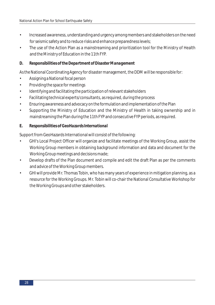- for seismic safety and to reduce risks and enhance preparedness levels; Increased awareness, understanding and urgency among members and stakeholders on the need
- The use of the Action Plan as a mainstreaming and prioritization tool for the Ministry of Health and the Ministry of Education in the 11th FYP.
- *D. Responsibilities of the Department of Disaster Management*

As the National Coordinating Agency for disaster management, the DDM will be responsible for:

- Assigning a National focal person
- Providing the space for meetings
- Identifying and facilitating the participation of relevant stakeholders
- Facilitating technical experts/consultants, as required, during the process
- Ensuring awareness and advocacy on the formulation and implementation of the Plan
- Supporting the Ministry of Education and the Ministry of Health in taking ownership and in mainstreaming the Plan during the 11th FYP and consecutive FYP periods, as required.
- *E. Responsibilities of GeoHazards International*

Support from GeoHazards International will consist of the following:

- GHI's Local Project Officer will organize and facilitate meetings of the Working Group, assist the Working Group members in obtaining background information and data and document for the Working Group meetings and decisions made;
- Develop drafts of the Plan document and compile and edit the draft Plan as per the comments and advice of the Working Group members.
- GHI will provide Mr. Thomas Tobin, who has many years of experience in mitigation planning, as a resource for the Working Groups. Mr. Tobin will co-chair the National Consultative Workshop for the Working Groups and other stakeholders.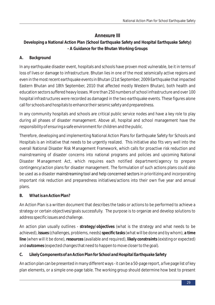## **Annexure III**

**Developing a National Action Plan (School Earthquake Safety and Hospital Earthquake Safety) - A Guidance for the Bhutan Working Groups**

## *A. Background*

In any earthquake disaster event, hospitals and schools have proven most vulnerable, be it in terms of loss of lives or damage to infrastructure. Bhutan lies in one of the most seismically active regions and even in the most recent earthquake events in Bhutan (21st September, 2009 Earthquake that impacted Eastern Bhutan and 18th September, 2010 that affected mostly Western Bhutan), both health and education sectors suffered heavy losses. More than 250 numbers of school infrastructure and over 100 hospital infrastructures were recorded as damaged in the two earthquake events. These figures alone call for schools and hospitals to enhance their seismic safety and preparedness.

In any community hospitals and schools are critical public service nodes and have a key role to play during all phases of disaster management. Above all, hospital and school management have the responsibility of ensuring a safe environment for children and the public.

Therefore, developing and implementing National Action Plans for Earthquake Safety for Schools and Hospitals is an initiative that needs to be urgently realized. This initiative also fits very well into the overall National Disaster Risk Management Framework, which calls for proactive risk reduction and mainstreaming of disaster concerns into national programs and policies and upcoming National Disaster Management Act, which requires each notified department/agency to prepare contingency/action plans for disaster management. The formulation of such actions plans could also be used as a disaster mainstreaming tool and help concerned sectors in prioritizing and incorporating important risk reduction and preparedness initiatives/actions into their own five year and annual plans.

## *B. What is an Action Plan?*

An Action Plan is a written document that describes the tasks or actions to be performed to achieve a strategy or certain objectives/goals successfully. The purpose is to organize and develop solutions to address specific issues and challenge.

An action plan usually outlines - *strategy/objectives* (what is the strategy and what needs to be achieved), *issues* (challenges, problems, needs) *specific tasks* (what will be done and by whom), *a time line* (when will it be done), *resources* (available and required), *likely constraints* (existing or expected) and *outcomes* (expected changes that need to happen to move closer to the goal).

## *C. Likely Components of an Action Plan for School and Hospital Earthquake Safety*

An action plan can be presented in many different ways - it can be a 50-page report, a five page list of key plan elements, or a simple one-page table. The working group should determine how best to present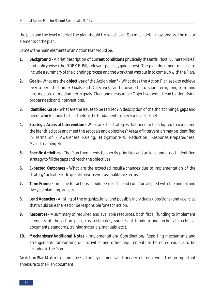the plan and the level of detail the plan should try to achieve. Too much detail may obscure the major elements of the plan.

Some of the main elements of an Action Plan would be:

- *1. Background* A brief description of *current conditions* physically (hazards, risks, vulnerabilities) and policy-wise (the NDRMF, Bill, relevant policies/guidelines). The plan document might also include a summary of the planning process and the work that was put in to come up with the Plan.
- *2. Goals* What are the *objectives* of the Action plan? What does the Action Plan seek to achieve over a period of time? Goals and Objectives can be divided into short term, long term and intermediate or medium term goals. Clear and measurable Objectives would lead to identifying proper needs and interventions.
- *3. Identified Gaps* What are the issues to be tackled? A description of the shortcomings, gaps and needs which should be filled before the fundamental objectives can be met.
- *4. Strategic Areas of Intervention* What are the strategies that need to be adopted to overcome the identified gaps and meet the set goals and objectives? Areas of intervention may be identified in terms of - Awareness Raising, Mitigation/Risk Reduction, Response/Preparedness, Mainstreaming etc.
- *5. Specific Activities* The Plan then needs to specify priorities and actions under each identified strategy to fill the gaps and reach the objectives.
- *6. Expected Outcomes* What are the expected results/changes due to implementation of the strategy/ activities? - In quantitative as well as qualitative terms.
- *7. Time Frame* Timeline for actions should be realistic and could be aligned with the annual and five year planning process.
- *8. Lead Agencies* A listing of the organizations (and possibly individuals / positions) and agencies that would take the lead or be responsible for each action.
- *9. Resources* A summary of required and available resources, both fiscal (funding to implement elements of the action plan, cost estimates, sources of funding) and technical (technical documents, standards, training materials, manuals, etc.).
- *10. Mechanisms/Additional Notes* Implementation/ Coordination/ Reporting mechanisms and arrangements for carrying out activities and other requirements to be noted could also be included in the Plan.

An Action Plan Matrix to summarize all the key elements and for easy reference would be an important annexure to the Plan document.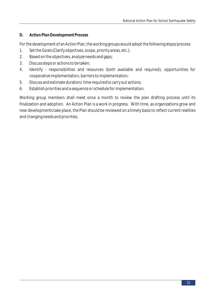#### *D. Action Plan Development Process*

For the development of an Action Plan, the working groups would adopt the following steps/process:

- 1. Set the Goals (Clarify objectives, scope, priority areas, etc.);
- 2. Based on the objectives, analyze needs and gaps;
- 3. Discuss steps or actions to be taken;
- 4. Identify responsibilities and resources (both available and required), opportunities for cooperative implementation, barriers to implementation;
- 5. Discuss and estimate duration/ time required to carry out actions;
- 6. Establish priorities and a sequence or schedule for implementation.

Working group members shall meet once a month to review the plan drafting process until its finalization and adoption. An Action Plan is a work in progress. With time, as organizations grow and new developments take place, the Plan should be reviewed on a timely basis to reflect current realities and changing needs and priorities.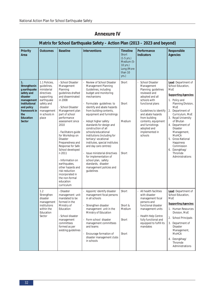|                                                                                                                                                         | Matrix for School Earthquake Safety – Action Plan (2013 – 2023 and beyond)                                                                              |                                                                                                                                                                                                                                                                                                                                                                                                                                                                                       |                                                                                                                                                                                                                                                                                                                                                                                                                                                                                                                                                                                                     |                                                                                                             |                                                                                                                                                                                                                                                                                          |                                                                                                                                                                                                                                                                                                                                                                              |
|---------------------------------------------------------------------------------------------------------------------------------------------------------|---------------------------------------------------------------------------------------------------------------------------------------------------------|---------------------------------------------------------------------------------------------------------------------------------------------------------------------------------------------------------------------------------------------------------------------------------------------------------------------------------------------------------------------------------------------------------------------------------------------------------------------------------------|-----------------------------------------------------------------------------------------------------------------------------------------------------------------------------------------------------------------------------------------------------------------------------------------------------------------------------------------------------------------------------------------------------------------------------------------------------------------------------------------------------------------------------------------------------------------------------------------------------|-------------------------------------------------------------------------------------------------------------|------------------------------------------------------------------------------------------------------------------------------------------------------------------------------------------------------------------------------------------------------------------------------------------|------------------------------------------------------------------------------------------------------------------------------------------------------------------------------------------------------------------------------------------------------------------------------------------------------------------------------------------------------------------------------|
| Priority<br>Area                                                                                                                                        | <b>Outcomes</b>                                                                                                                                         | <b>Baseline</b>                                                                                                                                                                                                                                                                                                                                                                                                                                                                       | Interventions                                                                                                                                                                                                                                                                                                                                                                                                                                                                                                                                                                                       | <b>Timeline</b><br><b>Short</b><br>$(1-5$ yrs.)<br>Medium (5-<br>10 yrs.)<br>Long (More<br>than 10<br>yrs.) | Performance<br>Indicators                                                                                                                                                                                                                                                                | Responsible<br><b>Agencies</b>                                                                                                                                                                                                                                                                                                                                               |
| 1.<br>Strengthenin<br>g earthquake<br>safety and<br>disaster<br>management<br>institutional<br>and policy<br>framework in<br>the<br>Education<br>Sector | 1.1 Policies,<br>quidelines,<br>ministerial<br>directives<br>supporting<br>earthquake<br>safety and<br>disaster<br>management<br>in schools in<br>place | - School Disaster<br>Management<br>Planning<br>guidelines drafted<br>and disseminated<br>in 2008<br>- School Disaster<br>Management plan<br>part of school<br>performance<br>assessment since<br>2010<br>- Facilitators guide<br>for Workshop on<br><b>Disaster</b><br>Preparedness and<br>Response for Safe<br>School developed<br>n 2011<br>- Information on<br>earthquakes,<br>other hazards and<br>risk reduction<br>incorporated in<br>the non-formal<br>education<br>curriculum | Review of School Disaster<br>Management Planning<br>Guidelines, including<br>budget and monitoring<br>mechanisms<br>Formulate guidelines to<br>identify and abate hazards<br>from building contents,<br>equipment and furnishings<br>Adopt higher safety<br>standards for design and<br>construction of all<br>schools/educational<br>institutions (including for<br>tertiary/vocational<br>institutes, special institutes<br>and day care centres)<br>Issue ministerial directives<br>for implementation of<br>school plan, safety<br>standards, disaster<br>management policies and<br>quidelines | Short<br>Short<br>Medium<br>Short                                                                           | <b>School Disaster</b><br>Management<br>Planning guidelines<br>reviewed and<br>adopted and all<br>schools with<br>functional plans<br>Guidelines to identify<br>and abate hazards<br>from building<br>contents, equipment<br>and furnishings<br>adopted and<br>implemented in<br>schools | Lead: Department of<br>School Education,<br>MoE<br><b>Supporting Agencies:</b><br>1. Policy and<br>Planning Division,<br><b>MoE</b><br>2. Department of<br>Curriculum, MoE<br>3. Royal University<br>of Bhutan<br>4. Department of<br><b>Disaster</b><br>Management,<br>MoHCA<br>5. Gross National<br>Happiness<br>Commission<br>6. Dzongkhag/<br>Thromde<br>Administrations |
|                                                                                                                                                         | 1.2<br>Strengthen<br>disaster<br>management<br>institutions<br>within the<br>Education<br>Sector                                                        | - Disaster<br>management unit<br>mandated to be<br>formed in the<br>Ministry of<br>Education<br>- School disaster<br>management<br>committees<br>formed as per<br>existing guidelines                                                                                                                                                                                                                                                                                                 | Appoint/ identify disaster<br>management focal persons<br>in all schools<br>Strengthen disaster<br>management unit in the<br>Ministry of Education<br>Form school disaster<br>management committees<br>and teams<br>Encourage formation of<br>disaster management clubs<br>in schools                                                                                                                                                                                                                                                                                                               | Short<br>Short &<br>Medium<br>Short<br>Short                                                                | All health facilities<br>with disaster<br>management focal<br>persons and<br>functional disaster<br>management units<br>Health Help Centre<br>fully functional and<br>equipped to fulfill its<br>mandates                                                                                | Lead: Department of<br>School Education,<br>MoE<br><b>Supporting Agencies:</b><br>1. Human Resources<br>Division, MoE<br>2. School Principals<br>3. Department of<br><b>Disaster</b><br>Management,<br>MoHCA<br>4. Dzongkhag/<br>Thromde<br>Administrations                                                                                                                  |

## **Annexure IV**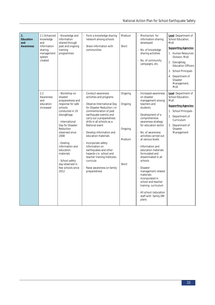| 2.<br>Education<br>and<br>Awareness | 2.1 Enhanced<br>knowledge<br>and<br>information<br>sharing<br>management<br>system<br>created | - Knowledge and<br>information<br>shared through<br>past and ongoing<br>training<br>programmes                                                                                                                                                                                                                             | Form a knowledge sharing<br>network among schools<br>Share information with<br>communities                                                                                                                                                                                                                                                                                                                                                                                    | Medium<br>Short                                  | Mechanism for<br>information sharing<br>developed<br>No. of knowledge<br>sharing activities<br>No. of community<br>campaigns, etc.                                                                                                                                                                                                                                                                                                                                                                                      | Lead: Department of<br>School Education,<br><b>MoE</b><br><b>Supporting Agencies:</b><br>1. Human Resources<br>Division, MoE<br>2. Dzongkhag<br><b>Education Officers</b><br>3. School Principals<br>4. Department of<br>Disaster<br>Management,<br><b>MoE</b> |
|-------------------------------------|-----------------------------------------------------------------------------------------------|----------------------------------------------------------------------------------------------------------------------------------------------------------------------------------------------------------------------------------------------------------------------------------------------------------------------------|-------------------------------------------------------------------------------------------------------------------------------------------------------------------------------------------------------------------------------------------------------------------------------------------------------------------------------------------------------------------------------------------------------------------------------------------------------------------------------|--------------------------------------------------|-------------------------------------------------------------------------------------------------------------------------------------------------------------------------------------------------------------------------------------------------------------------------------------------------------------------------------------------------------------------------------------------------------------------------------------------------------------------------------------------------------------------------|----------------------------------------------------------------------------------------------------------------------------------------------------------------------------------------------------------------------------------------------------------------|
|                                     | 2.2<br>Awareness<br>and<br>education<br>increased                                             | - Workshop on<br>disaster<br>preparedness and<br>response for safe<br>schools<br>conducted in 19<br>dzongkhags<br>- International<br>Day for Disaster<br>Reduction<br>observed since<br>2008<br>- Existing<br>information and<br>education<br>materials<br>- School safety<br>day observed in<br>few schools since<br>2012 | Conduct awareness<br>activities and programs<br>Observe International Day<br>for Disaster Reduction (or<br>commemoration of past<br>earthquake events) and<br>carry out a preparedness<br>drills in all schools as a<br>National event<br>Develop information and<br>education materials<br>Incorporate safety<br>information on<br>earthquakes and other<br>hazards s in school and<br>teacher training institutes<br>curricula<br>Raise awareness on family<br>preparedness | Ongoing<br>Ongoing<br>Ongoing<br>Medium<br>Short | Increased awareness<br>on disaster<br>management among<br>teachers and<br>students<br>Development of a<br>comprehensive<br>awareness strategy<br>for education sector<br>No. of awareness<br>activities carried out<br>at various levels<br>Information and<br>education materials<br>formulated and<br>disseminated in all<br>schools<br><b>Disaster</b><br>management related<br>materials<br>incorporated in<br>school and teacher<br>training curriculum<br>All school / education<br>staff with family DM<br>plans | Lead: Department of<br>School Education,<br><b>MoE</b><br><b>Supporting Agencies:</b><br>1. School Principals<br>2. Department of<br>Curriculum<br>3. Department of<br>Disaster<br>Management                                                                  |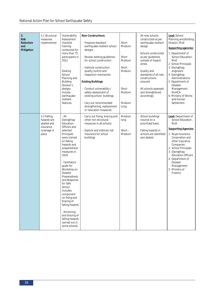| 3.<br><b>Risk</b><br>Reduction<br>and<br>Mitigation | 3.1 Structural<br>measures<br>implemented                                     | Vulnerability<br>Assessment<br>checklist<br>training<br>conducted for<br>more than 75<br>participants in<br>2012<br>Existing<br>School<br>Planning and<br>Building<br>Division's<br>designs<br>include<br>earthquake<br>resilient<br>features                                                                                                                                                                                                           | New Constructions:<br>Prepares standard<br>earthquake-resilient school<br>designs<br>Review existing guidelines<br>for school construction<br>Institute construction<br>quality control and<br>inspection mechanism<br><b>Existing Buildings:</b><br>- Conduct vulnerability /<br>safety assessment of<br>existing school buildings<br>Cary out recommended<br>strengthening, replacement<br>or relocation measures | Short<br>Medium<br>Short<br>Medium<br>Short<br>Medium<br>Short<br>Medium<br>Medium<br>Long | All new schools<br>constructed as per<br>earthquake resilient<br>design<br>Schools constructed<br>as per guidelines<br>outside of hazard<br>zones<br>- Quality and<br>standards of all new<br>constructions<br>ensured<br>All schools assessed<br>and strengthened<br>accordingly | Lead: School<br>Planning and Building<br>Division, MoE<br>Supporting agencies:<br>1. Department of<br>School Education,<br>MoE<br>2. School Principals<br>3. Dzongkhag<br>engineers<br>4. Dzongkhag<br>Administrations<br>5. Department of<br><b>Disaster</b><br>Management,<br>MoHCA<br>6. Ministry of Works<br>and Human<br>Settlement |
|-----------------------------------------------------|-------------------------------------------------------------------------------|---------------------------------------------------------------------------------------------------------------------------------------------------------------------------------------------------------------------------------------------------------------------------------------------------------------------------------------------------------------------------------------------------------------------------------------------------------|---------------------------------------------------------------------------------------------------------------------------------------------------------------------------------------------------------------------------------------------------------------------------------------------------------------------------------------------------------------------------------------------------------------------|--------------------------------------------------------------------------------------------|-----------------------------------------------------------------------------------------------------------------------------------------------------------------------------------------------------------------------------------------------------------------------------------|------------------------------------------------------------------------------------------------------------------------------------------------------------------------------------------------------------------------------------------------------------------------------------------------------------------------------------------|
|                                                     | 3.2 Falling<br>hazards are<br>abated and<br>insurance<br>coverage in<br>place | $-$ All<br>Dzongkhag<br>Education<br>Officers and<br>selected<br>Principals<br>were trained<br>on falling<br>hazards and<br>preparedness<br>measures in<br>2010<br>- Facilitators<br>quide for<br>Workshop on<br><b>Disaster</b><br>Preparedness<br>and Response<br>for Safe<br>School<br>includes<br>component<br>on fixing and<br>bracing of<br>falling hazards<br>- Anchoring<br>and bracing of<br>falling hazards<br>carried out in<br>some schools | Carry out fixing, bracing and<br>other non-structural<br>measures in all schools<br>Explore and institute risk<br>insurance for school<br>buildings                                                                                                                                                                                                                                                                 | Medium<br>long<br>Short,<br>Medium                                                         | School buildings<br>insured on a<br>prioritized basis<br>Falling hazards in<br>schools are identified<br>and abated                                                                                                                                                               | Lead: Department of<br>School Education,<br>MoE<br><b>Supporting Agencies:</b><br>1. Royal Insurance<br>Corporation and<br>other Insurance<br>Companies<br>2. School Principals<br>3. Dzongkhag<br><b>Education Officers</b><br>4. Department of<br>Disaster<br>Management<br>5. Ministry of<br>Finance                                  |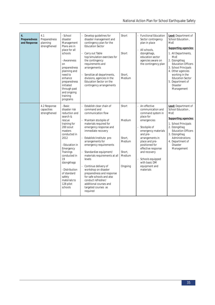| 4.<br>Preparedness<br>and Response | 4.1<br>Preparedness<br>planning<br>strengthened | - School<br>disaster<br>Management<br>Plans are in<br>place for all<br>schools<br>- Awareness<br><sub>on</sub><br>preparedness<br>planning and<br>need to<br>enhance<br>preparedness<br>initiated<br>through past<br>and ongoing<br>training<br>programs                                           | Develop guidelines for<br>disaster management and<br>contingency plan for the<br><b>Education Sector</b><br>Carry out Table<br>top/simulation exercises for<br>the contingency<br>requirements and<br>arrangements<br>Sensitize all departments,<br>divisions, agencies in the<br>Education Sector on the<br>contingency arrangements                                                                                                                                                                        | Short<br>Short<br>Short,<br>Medium                                 | <b>Functional Education</b><br>Sector contingency<br>plan in place<br>All schools,<br>dzongkhags,<br>education sector<br>agencies aware on<br>the contingency plan                                                                                                                                      | Lead: Department of<br>School Education,<br><b>MoE</b><br>Supporting agencies:<br>1. All Departments,<br><b>MoE</b><br>2. Dzongkhag<br><b>Education Officers</b><br>3. School Principals<br>4. Other agencies<br>working in the<br><b>Education Sector</b><br>5. Department of<br><b>Disaster</b><br>Management |
|------------------------------------|-------------------------------------------------|----------------------------------------------------------------------------------------------------------------------------------------------------------------------------------------------------------------------------------------------------------------------------------------------------|--------------------------------------------------------------------------------------------------------------------------------------------------------------------------------------------------------------------------------------------------------------------------------------------------------------------------------------------------------------------------------------------------------------------------------------------------------------------------------------------------------------|--------------------------------------------------------------------|---------------------------------------------------------------------------------------------------------------------------------------------------------------------------------------------------------------------------------------------------------------------------------------------------------|-----------------------------------------------------------------------------------------------------------------------------------------------------------------------------------------------------------------------------------------------------------------------------------------------------------------|
|                                    | 4.2 Response<br>capacities<br>strengthened      | - Basic<br>disaster risk<br>reduction and<br>search &<br>rescue<br>training for<br>200 scout<br>masters<br>conducted in<br>2012<br>- Education in<br>Emergency<br>Trainings<br>conducted in<br>19<br>dzongkhags<br>- Distribution<br>of standard<br>safety<br>materials to<br>128 pilot<br>schools | Establish clear chain of<br>command and<br>communication flow<br>Maintain stockpile of<br>materials required for<br>emergency response and<br>immediate recovery<br>Establish/institute pre-<br>arrangements for<br>emergency requirements<br>Standardize equipment/<br>materials requirements at all<br>levels<br>Continue delivery of<br>workshop on disaster<br>preparedness and response<br>for safe schools and also<br>conduct refresher/<br>additional courses and<br>targeted courses as<br>required | Short<br>Medium<br>Short,<br>Medium<br>Short,<br>Medium<br>Ongoing | - An effective<br>communication and<br>command system in<br>place for<br>emergencies<br>Stockpile of<br>emergency materials<br>and pre-<br>arrangements in<br>place and pre-<br>positioned for<br>effective response<br>and recovery<br>Schools equipped<br>with basic DM<br>equipment and<br>materials | Lead: Department of<br>School Education,<br><b>MoE</b><br>Supporting agencies:<br>1. School Principals<br>2. Dzongkhag<br><b>Education Officers</b><br>3. Dzongkhag<br>Administrations<br>4. Department of<br><b>Disaster</b><br>Management                                                                     |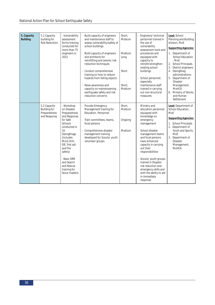| 5. Capacity<br><b>Building</b> | 5.1 Capacity<br>building for<br><b>Risk Reduction</b>               | - Vulnerability<br>assessment<br>forms training<br>conducted for<br>more than 75<br>engineers in<br>2012                                                                                                                                                                      | Build capacity of engineers<br>and maintenance staff to<br>assess vulnerability/safety of<br>school buildings<br>Build capacity of engineers<br>and architects for<br>retrofitting and seismic risk<br>reduction techniques<br>Conduct comprehensive<br>training on how to reduce<br>hazards from falling objects<br>Raise awareness and<br>capacity on mainstreaming<br>earthquake safety and risk<br>reduction concerns | Short,<br>Medium<br>Medium.<br>Long<br>Short<br>Short,<br>Medium | Engineers/technical<br>personnel trained in<br>the use of<br>vulnerability<br>assessment tools and<br>procedures and<br>equipped with<br>capacity to<br>retrofit/strengthen<br>existing school<br>buildings<br>School personnel,<br>especially<br>maintenance staff<br>trained in carrying<br>out non-structural<br>measures                                                              | Lead: School<br>Planning and Building<br>division. MoE<br><b>Supporting Agencies:</b><br>1. Department of<br><b>School Education</b><br>, MoE<br>2. School Principals<br>3.<br>District engineers<br>4. Dzongkhag<br>administrations<br>5. Department of<br><b>Disaster</b><br>Management,<br>MoHCA<br>6. Ministry of Works<br>and Human<br>Settlement |
|--------------------------------|---------------------------------------------------------------------|-------------------------------------------------------------------------------------------------------------------------------------------------------------------------------------------------------------------------------------------------------------------------------|---------------------------------------------------------------------------------------------------------------------------------------------------------------------------------------------------------------------------------------------------------------------------------------------------------------------------------------------------------------------------------------------------------------------------|------------------------------------------------------------------|-------------------------------------------------------------------------------------------------------------------------------------------------------------------------------------------------------------------------------------------------------------------------------------------------------------------------------------------------------------------------------------------|--------------------------------------------------------------------------------------------------------------------------------------------------------------------------------------------------------------------------------------------------------------------------------------------------------------------------------------------------------|
|                                | 5.2 Capacity<br><b>Building for</b><br>Preparedness<br>and Response | - Workshop<br>on Disaster<br>Preparedness<br>and Response<br>for Safe<br>Schools<br>conducted in<br>16<br>Dzongkhags<br><i>(includes)</i><br>Mock Drill,<br>EIE, first aid<br>and fire<br>safety)<br>- Basic DRR<br>and Search<br>and Rescue<br>training for<br>Scout masters | Provide Emergency<br>Management training for<br><b>Education. Personnel</b><br>Train committees, teams,<br>focal persons<br>Comprehensive disaster<br>management training<br>developed for Scouts/ youth<br>volunteer groups                                                                                                                                                                                              | Short.<br>Medium<br>Ongoing<br>Medium                            | Ministry and<br>education personnel<br>equipped with<br>knowledge on<br>emergency<br>management<br>School disaster<br>management teams<br>and focal persons<br>have enhanced<br>capacity in carrying<br>out their<br>responsibilities<br>Scouts/ youth groups<br>trained in Disaster<br>risk reduction and<br>emergency skills and<br>with the ability to aid<br>in immediate<br>response | Lead: Department of<br>School Education.<br>MoE<br><b>Supporting Agencies:</b><br>1. School Principals<br>2. Department of<br>Youth and Sports,<br>MoE<br>3. Department of<br><b>Disaster</b><br>Management,<br>MoHCA                                                                                                                                  |